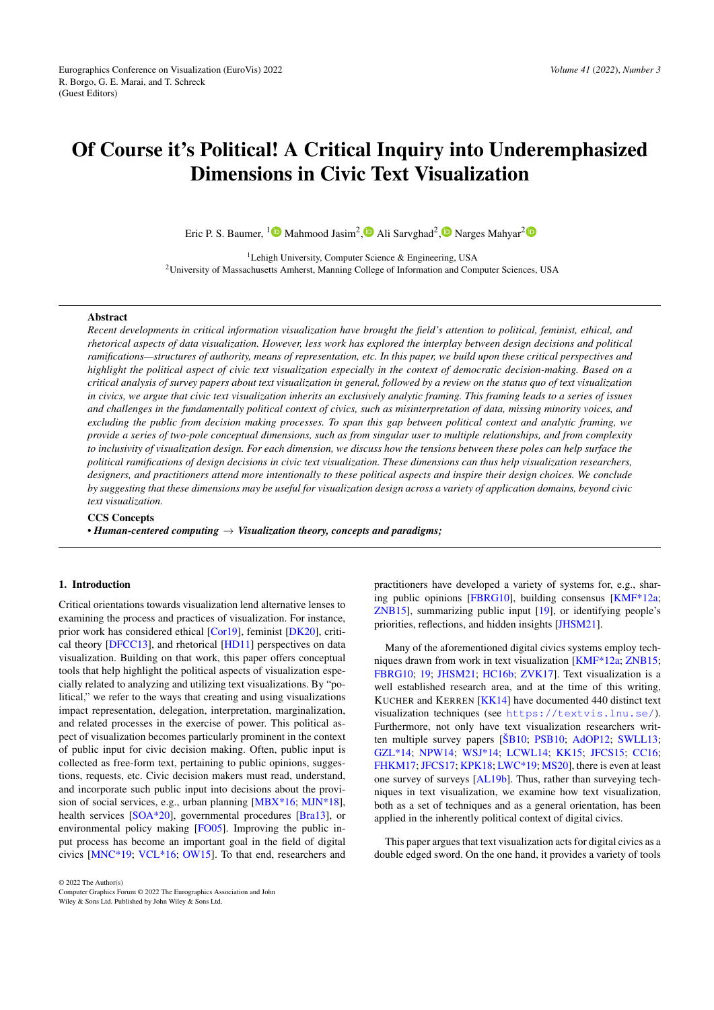# Of Course it's Political! A Critical Inquiry into Underemphasized Dimensions in Civic Text Visualization

Eric P. S. Baumer, <sup>[1](https://orcid.org/0000-0001-5338-4421)</sup><sup>1</sup> Mahmood Jasim<sup>2</sup>[,](https://orcid.org/0000-0003-3718-7043)<sup>1</sup> Ali Sarvghad<sup>[2](https://orcid.org/0000-0003-1781-0029)</sup>,<sup>1</sup> Narges Mahyar<sup>2</sup>

<sup>1</sup>Lehigh University, Computer Science & Engineering, USA <sup>2</sup>University of Massachusetts Amherst, Manning College of Information and Computer Sciences, USA

## Abstract

*Recent developments in critical information visualization have brought the field's attention to political, feminist, ethical, and rhetorical aspects of data visualization. However, less work has explored the interplay between design decisions and political ramifications—structures of authority, means of representation, etc. In this paper, we build upon these critical perspectives and highlight the political aspect of civic text visualization especially in the context of democratic decision-making. Based on a critical analysis of survey papers about text visualization in general, followed by a review on the status quo of text visualization in civics, we argue that civic text visualization inherits an exclusively analytic framing. This framing leads to a series of issues and challenges in the fundamentally political context of civics, such as misinterpretation of data, missing minority voices, and excluding the public from decision making processes. To span this gap between political context and analytic framing, we provide a series of two-pole conceptual dimensions, such as from singular user to multiple relationships, and from complexity to inclusivity of visualization design. For each dimension, we discuss how the tensions between these poles can help surface the political ramifications of design decisions in civic text visualization. These dimensions can thus help visualization researchers, designers, and practitioners attend more intentionally to these political aspects and inspire their design choices. We conclude by suggesting that these dimensions may be useful for visualization design across a variety of application domains, beyond civic text visualization.*

# CCS Concepts

*• Human-centered computing* → *Visualization theory, concepts and paradigms;*

## 1. Introduction

Critical orientations towards visualization lend alternative lenses to examining the process and practices of visualization. For instance, prior work has considered ethical [\[Cor19\]](#page-11-0), feminist [\[DK20\]](#page-11-1), critical theory [\[DFCC13\]](#page-11-2), and rhetorical [\[HD11\]](#page-11-3) perspectives on data visualization. Building on that work, this paper offers conceptual tools that help highlight the political aspects of visualization especially related to analyzing and utilizing text visualizations. By "political," we refer to the ways that creating and using visualizations impact representation, delegation, interpretation, marginalization, and related processes in the exercise of power. This political aspect of visualization becomes particularly prominent in the context of public input for civic decision making. Often, public input is collected as free-form text, pertaining to public opinions, suggestions, requests, etc. Civic decision makers must read, understand, and incorporate such public input into decisions about the provision of social services, e.g., urban planning [\[MBX\\*16;](#page-12-0) [MJN\\*18\]](#page-12-1), health services [\[SOA\\*20\]](#page-13-0), governmental procedures [\[Bra13\]](#page-10-0), or environmental policy making [\[FO05\]](#page-11-4). Improving the public input process has become an important goal in the field of digital civics [\[MNC\\*19;](#page-12-2) [VCL\\*16;](#page-13-1) [OW15\]](#page-13-2). To that end, researchers and

practitioners have developed a variety of systems for, e.g., sharing public opinions [\[FBRG10\]](#page-11-5), building consensus [\[KMF\\*12a;](#page-12-3) [ZNB15\]](#page-13-3), summarizing public input [\[19\]](#page-10-1), or identifying people's priorities, reflections, and hidden insights [\[JHSM21\]](#page-12-4).

Many of the aforementioned digital civics systems employ techniques drawn from work in text visualization [\[KMF\\*12a;](#page-12-3) [ZNB15;](#page-13-3) [FBRG10;](#page-11-5) [19;](#page-10-1) [JHSM21;](#page-12-4) [HC16b;](#page-11-6) [ZVK17\]](#page-13-4). Text visualization is a well established research area, and at the time of this writing, KUCHER and KERREN [\[KK14\]](#page-12-5) have documented 440 distinct text visualization techniques (see <https://textvis.lnu.se/>). Furthermore, not only have text visualization researchers written multiple survey papers [\[ŠB10;](#page-13-5) [PSB10;](#page-13-6) [AdOP12;](#page-10-2) [SWLL13;](#page-13-7) [GZL\\*14;](#page-11-7) [NPW14;](#page-13-8) [WSJ\\*14;](#page-13-9) [LCWL14;](#page-12-6) [KK15;](#page-12-7) [JFCS15;](#page-12-8) [CC16;](#page-10-3) [FHKM17;](#page-11-8) [JFCS17;](#page-12-9) [KPK18;](#page-12-10) [LWC\\*19;](#page-12-11) [MS20\]](#page-12-12), there is even at least one survey of surveys [\[AL19b\]](#page-10-4). Thus, rather than surveying techniques in text visualization, we examine how text visualization, both as a set of techniques and as a general orientation, has been applied in the inherently political context of digital civics.

This paper argues that text visualization acts for digital civics as a double edged sword. On the one hand, it provides a variety of tools

© 2022 The Author(s)

Computer Graphics Forum © 2022 The Eurographics Association and John

Wiley & Sons Ltd. Published by John Wiley & Sons Ltd.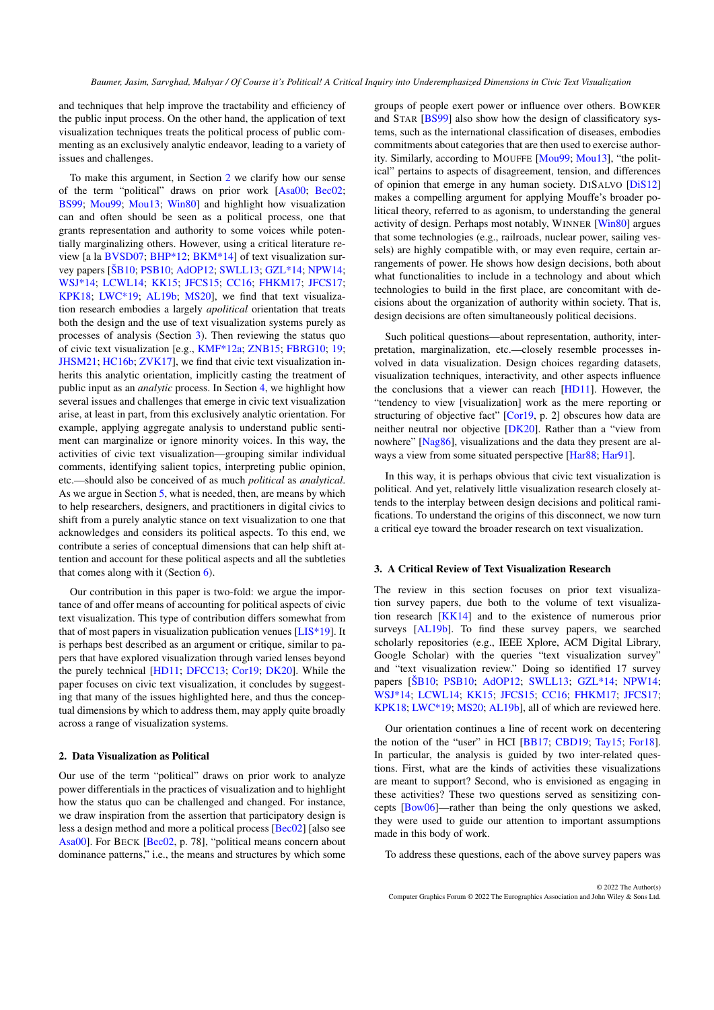and techniques that help improve the tractability and efficiency of the public input process. On the other hand, the application of text visualization techniques treats the political process of public commenting as an exclusively analytic endeavor, leading to a variety of issues and challenges.

To make this argument, in Section [2](#page-1-0) we clarify how our sense of the term "political" draws on prior work [\[Asa00;](#page-10-5) [Bec02;](#page-10-6) [BS99;](#page-10-7) [Mou99;](#page-12-13) [Mou13;](#page-12-14) [Win80\]](#page-13-10) and highlight how visualization can and often should be seen as a political process, one that grants representation and authority to some voices while potentially marginalizing others. However, using a critical literature review [a la [BVSD07;](#page-10-8) [BHP\\*12;](#page-10-9) [BKM\\*14\]](#page-10-10) of text visualization survey papers [\[ŠB10;](#page-13-5) [PSB10;](#page-13-6) [AdOP12;](#page-10-2) [SWLL13;](#page-13-7) [GZL\\*14;](#page-11-7) [NPW14;](#page-13-8) [WSJ\\*14;](#page-13-9) [LCWL14;](#page-12-6) [KK15;](#page-12-7) [JFCS15;](#page-12-8) [CC16;](#page-10-3) [FHKM17;](#page-11-8) [JFCS17;](#page-12-9) [KPK18;](#page-12-10) [LWC\\*19;](#page-12-11) [AL19b;](#page-10-4) [MS20\]](#page-12-12), we find that text visualization research embodies a largely *apolitical* orientation that treats both the design and the use of text visualization systems purely as processes of analysis (Section [3\)](#page-1-1). Then reviewing the status quo of civic text visualization [e.g., [KMF\\*12a;](#page-12-3) [ZNB15;](#page-13-3) [FBRG10;](#page-11-5) [19;](#page-10-1) [JHSM21;](#page-12-4) [HC16b;](#page-11-6) [ZVK17\]](#page-13-4), we find that civic text visualization inherits this analytic orientation, implicitly casting the treatment of public input as an *analytic* process. In Section [4,](#page-3-0) we highlight how several issues and challenges that emerge in civic text visualization arise, at least in part, from this exclusively analytic orientation. For example, applying aggregate analysis to understand public sentiment can marginalize or ignore minority voices. In this way, the activities of civic text visualization—grouping similar individual comments, identifying salient topics, interpreting public opinion, etc.—should also be conceived of as much *political* as *analytical*. As we argue in Section [5,](#page-5-0) what is needed, then, are means by which to help researchers, designers, and practitioners in digital civics to shift from a purely analytic stance on text visualization to one that acknowledges and considers its political aspects. To this end, we contribute a series of conceptual dimensions that can help shift attention and account for these political aspects and all the subtleties that comes along with it (Section [6\)](#page-6-0).

Our contribution in this paper is two-fold: we argue the importance of and offer means of accounting for political aspects of civic text visualization. This type of contribution differs somewhat from that of most papers in visualization publication venues [\[LIS\\*19\]](#page-12-15). It is perhaps best described as an argument or critique, similar to papers that have explored visualization through varied lenses beyond the purely technical [\[HD11;](#page-11-3) [DFCC13;](#page-11-2) [Cor19;](#page-11-0) [DK20\]](#page-11-1). While the paper focuses on civic text visualization, it concludes by suggesting that many of the issues highlighted here, and thus the conceptual dimensions by which to address them, may apply quite broadly across a range of visualization systems.

## <span id="page-1-0"></span>2. Data Visualization as Political

Our use of the term "political" draws on prior work to analyze power differentials in the practices of visualization and to highlight how the status quo can be challenged and changed. For instance, we draw inspiration from the assertion that participatory design is less a design method and more a political process [\[Bec02\]](#page-10-6) [also see [Asa00\]](#page-10-5). For BECK [\[Bec02,](#page-10-6) p. 78], "political means concern about dominance patterns," i.e., the means and structures by which some

groups of people exert power or influence over others. BOWKER and STAR [\[BS99\]](#page-10-7) also show how the design of classificatory systems, such as the international classification of diseases, embodies commitments about categories that are then used to exercise authority. Similarly, according to MOUFFE [\[Mou99;](#page-12-13) [Mou13\]](#page-12-14), "the political" pertains to aspects of disagreement, tension, and differences of opinion that emerge in any human society. DISALVO [\[DiS12\]](#page-11-9) makes a compelling argument for applying Mouffe's broader political theory, referred to as agonism, to understanding the general activity of design. Perhaps most notably, WINNER [\[Win80\]](#page-13-10) argues that some technologies (e.g., railroads, nuclear power, sailing vessels) are highly compatible with, or may even require, certain arrangements of power. He shows how design decisions, both about what functionalities to include in a technology and about which technologies to build in the first place, are concomitant with decisions about the organization of authority within society. That is, design decisions are often simultaneously political decisions.

Such political questions—about representation, authority, interpretation, marginalization, etc.—closely resemble processes involved in data visualization. Design choices regarding datasets, visualization techniques, interactivity, and other aspects influence the conclusions that a viewer can reach [\[HD11\]](#page-11-3). However, the "tendency to view [visualization] work as the mere reporting or structuring of objective fact" [\[Cor19,](#page-11-0) p. 2] obscures how data are neither neutral nor objective [\[DK20\]](#page-11-1). Rather than a "view from nowhere" [\[Nag86\]](#page-12-16), visualizations and the data they present are al-ways a view from some situated perspective [\[Har88;](#page-11-10) [Har91\]](#page-11-11).

In this way, it is perhaps obvious that civic text visualization is political. And yet, relatively little visualization research closely attends to the interplay between design decisions and political ramifications. To understand the origins of this disconnect, we now turn a critical eye toward the broader research on text visualization.

#### <span id="page-1-1"></span>3. A Critical Review of Text Visualization Research

The review in this section focuses on prior text visualization survey papers, due both to the volume of text visualization research [\[KK14\]](#page-12-5) and to the existence of numerous prior surveys [\[AL19b\]](#page-10-4). To find these survey papers, we searched scholarly repositories (e.g., IEEE Xplore, ACM Digital Library, Google Scholar) with the queries "text visualization survey" and "text visualization review." Doing so identified 17 survey papers [\[ŠB10;](#page-13-5) [PSB10;](#page-13-6) [AdOP12;](#page-10-2) [SWLL13;](#page-13-7) [GZL\\*14;](#page-11-7) [NPW14;](#page-13-8) [WSJ\\*14;](#page-13-9) [LCWL14;](#page-12-6) [KK15;](#page-12-7) [JFCS15;](#page-12-8) [CC16;](#page-10-3) [FHKM17;](#page-11-8) [JFCS17;](#page-12-9) [KPK18;](#page-12-10) [LWC\\*19;](#page-12-11) [MS20;](#page-12-12) [AL19b\]](#page-10-4), all of which are reviewed here.

Our orientation continues a line of recent work on decentering the notion of the "user" in HCI [\[BB17;](#page-10-11) [CBD19;](#page-10-12) [Tay15;](#page-13-11) [For18\]](#page-11-12). In particular, the analysis is guided by two inter-related questions. First, what are the kinds of activities these visualizations are meant to support? Second, who is envisioned as engaging in these activities? These two questions served as sensitizing concepts [\[Bow06\]](#page-10-13)—rather than being the only questions we asked, they were used to guide our attention to important assumptions made in this body of work.

To address these questions, each of the above survey papers was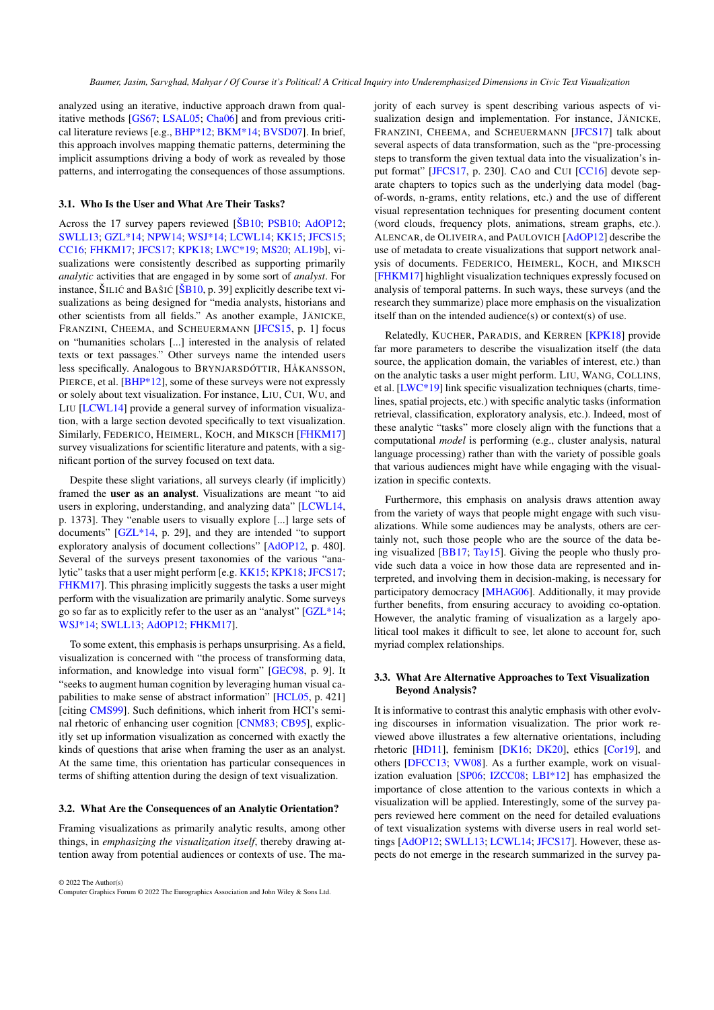analyzed using an iterative, inductive approach drawn from qualitative methods [\[GS67;](#page-11-13) [LSAL05;](#page-12-17) [Cha06\]](#page-10-14) and from previous critical literature reviews [e.g., [BHP\\*12;](#page-10-9) [BKM\\*14;](#page-10-10) [BVSD07\]](#page-10-8). In brief, this approach involves mapping thematic patterns, determining the implicit assumptions driving a body of work as revealed by those patterns, and interrogating the consequences of those assumptions.

## 3.1. Who Is the User and What Are Their Tasks?

Across the 17 survey papers reviewed [\[ŠB10;](#page-13-5) [PSB10;](#page-13-6) [AdOP12;](#page-10-2) [SWLL13;](#page-13-7) [GZL\\*14;](#page-11-7) [NPW14;](#page-13-8) [WSJ\\*14;](#page-13-9) [LCWL14;](#page-12-6) [KK15;](#page-12-7) [JFCS15;](#page-12-8) [CC16;](#page-10-3) [FHKM17;](#page-11-8) [JFCS17;](#page-12-9) [KPK18;](#page-12-10) [LWC\\*19;](#page-12-11) [MS20;](#page-12-12) [AL19b\]](#page-10-4), visualizations were consistently described as supporting primarily *analytic* activities that are engaged in by some sort of *analyst*. For instance,  $\text{SILI}$  $\text{C}$  and BAŠI $\text{C}$  [ $\text{SBl}_0$ , p. 39] explicitly describe text visualizations as being designed for "media analysts, historians and other scientists from all fields." As another example, JÄNICKE, FRANZINI, CHEEMA, and SCHEUERMANN [\[JFCS15,](#page-12-8) p. 1] focus on "humanities scholars [...] interested in the analysis of related texts or text passages." Other surveys name the intended users less specifically. Analogous to BRYNJARSDÓTTIR, HÅKANSSON, PIERCE, et al. [\[BHP\\*12\]](#page-10-9), some of these surveys were not expressly or solely about text visualization. For instance, LIU, CUI, WU, and LIU [\[LCWL14\]](#page-12-6) provide a general survey of information visualization, with a large section devoted specifically to text visualization. Similarly, FEDERICO, HEIMERL, KOCH, and MIKSCH [\[FHKM17\]](#page-11-8) survey visualizations for scientific literature and patents, with a significant portion of the survey focused on text data.

Despite these slight variations, all surveys clearly (if implicitly) framed the user as an analyst. Visualizations are meant "to aid users in exploring, understanding, and analyzing data" [\[LCWL14,](#page-12-6) p. 1373]. They "enable users to visually explore [...] large sets of documents" [\[GZL\\*14,](#page-11-7) p. 29], and they are intended "to support exploratory analysis of document collections" [\[AdOP12,](#page-10-2) p. 480]. Several of the surveys present taxonomies of the various "analytic" tasks that a user might perform [e.g. [KK15;](#page-12-7) [KPK18;](#page-12-10) [JFCS17;](#page-12-9) [FHKM17\]](#page-11-8). This phrasing implicitly suggests the tasks a user might perform with the visualization are primarily analytic. Some surveys go so far as to explicitly refer to the user as an "analyst" [\[GZL\\*14;](#page-11-7) [WSJ\\*14;](#page-13-9) [SWLL13;](#page-13-7) [AdOP12;](#page-10-2) [FHKM17\]](#page-11-8).

To some extent, this emphasis is perhaps unsurprising. As a field, visualization is concerned with "the process of transforming data, information, and knowledge into visual form" [\[GEC98,](#page-11-14) p. 9]. It "seeks to augment human cognition by leveraging human visual capabilities to make sense of abstract information" [\[HCL05,](#page-11-15) p. 421] [citing [CMS99\]](#page-10-15). Such definitions, which inherit from HCI's seminal rhetoric of enhancing user cognition [\[CNM83;](#page-10-16) [CB95\]](#page-10-17), explicitly set up information visualization as concerned with exactly the kinds of questions that arise when framing the user as an analyst. At the same time, this orientation has particular consequences in terms of shifting attention during the design of text visualization.

## 3.2. What Are the Consequences of an Analytic Orientation?

Framing visualizations as primarily analytic results, among other things, in *emphasizing the visualization itself*, thereby drawing attention away from potential audiences or contexts of use. The ma-

© 2022 The Author(s) Computer Graphics Forum © 2022 The Eurographics Association and John Wiley & Sons Ltd. jority of each survey is spent describing various aspects of visualization design and implementation. For instance, JÄNICKE, FRANZINI, CHEEMA, and SCHEUERMANN [\[JFCS17\]](#page-12-9) talk about several aspects of data transformation, such as the "pre-processing steps to transform the given textual data into the visualization's in-put format" [\[JFCS17,](#page-12-9) p. 230]. CAO and CUI [\[CC16\]](#page-10-3) devote separate chapters to topics such as the underlying data model (bagof-words, n-grams, entity relations, etc.) and the use of different visual representation techniques for presenting document content (word clouds, frequency plots, animations, stream graphs, etc.). ALENCAR, de OLIVEIRA, and PAULOVICH [\[AdOP12\]](#page-10-2) describe the use of metadata to create visualizations that support network analysis of documents. FEDERICO, HEIMERL, KOCH, and MIKSCH [\[FHKM17\]](#page-11-8) highlight visualization techniques expressly focused on analysis of temporal patterns. In such ways, these surveys (and the research they summarize) place more emphasis on the visualization itself than on the intended audience(s) or context(s) of use.

Relatedly, KUCHER, PARADIS, and KERREN [\[KPK18\]](#page-12-10) provide far more parameters to describe the visualization itself (the data source, the application domain, the variables of interest, etc.) than on the analytic tasks a user might perform. LIU, WANG, COLLINS, et al. [\[LWC\\*19\]](#page-12-11) link specific visualization techniques (charts, timelines, spatial projects, etc.) with specific analytic tasks (information retrieval, classification, exploratory analysis, etc.). Indeed, most of these analytic "tasks" more closely align with the functions that a computational *model* is performing (e.g., cluster analysis, natural language processing) rather than with the variety of possible goals that various audiences might have while engaging with the visualization in specific contexts.

Furthermore, this emphasis on analysis draws attention away from the variety of ways that people might engage with such visualizations. While some audiences may be analysts, others are certainly not, such those people who are the source of the data being visualized [\[BB17;](#page-10-11) [Tay15\]](#page-13-11). Giving the people who thusly provide such data a voice in how those data are represented and interpreted, and involving them in decision-making, is necessary for participatory democracy [\[MHAG06\]](#page-12-18). Additionally, it may provide further benefits, from ensuring accuracy to avoiding co-optation. However, the analytic framing of visualization as a largely apolitical tool makes it difficult to see, let alone to account for, such myriad complex relationships.

# 3.3. What Are Alternative Approaches to Text Visualization Beyond Analysis?

It is informative to contrast this analytic emphasis with other evolving discourses in information visualization. The prior work reviewed above illustrates a few alternative orientations, including rhetoric [\[HD11\]](#page-11-3), feminism [\[DK16;](#page-11-16) [DK20\]](#page-11-1), ethics [\[Cor19\]](#page-11-0), and others [\[DFCC13;](#page-11-2) [VW08\]](#page-13-12). As a further example, work on visualization evaluation [\[SP06;](#page-13-13) [IZCC08;](#page-11-17) [LBI\\*12\]](#page-12-19) has emphasized the importance of close attention to the various contexts in which a visualization will be applied. Interestingly, some of the survey papers reviewed here comment on the need for detailed evaluations of text visualization systems with diverse users in real world settings [\[AdOP12;](#page-10-2) [SWLL13;](#page-13-7) [LCWL14;](#page-12-6) [JFCS17\]](#page-12-9). However, these aspects do not emerge in the research summarized in the survey pa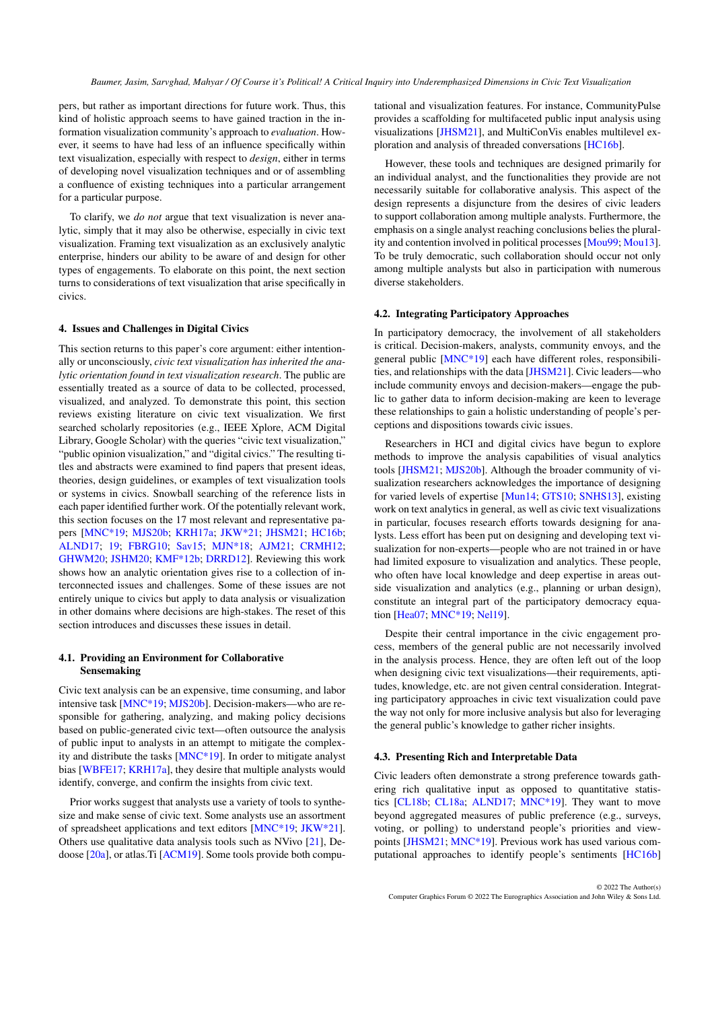pers, but rather as important directions for future work. Thus, this kind of holistic approach seems to have gained traction in the information visualization community's approach to *evaluation*. However, it seems to have had less of an influence specifically within text visualization, especially with respect to *design*, either in terms of developing novel visualization techniques and or of assembling a confluence of existing techniques into a particular arrangement for a particular purpose.

To clarify, we *do not* argue that text visualization is never analytic, simply that it may also be otherwise, especially in civic text visualization. Framing text visualization as an exclusively analytic enterprise, hinders our ability to be aware of and design for other types of engagements. To elaborate on this point, the next section turns to considerations of text visualization that arise specifically in civics.

#### <span id="page-3-0"></span>4. Issues and Challenges in Digital Civics

This section returns to this paper's core argument: either intentionally or unconsciously, *civic text visualization has inherited the analytic orientation found in text visualization research*. The public are essentially treated as a source of data to be collected, processed, visualized, and analyzed. To demonstrate this point, this section reviews existing literature on civic text visualization. We first searched scholarly repositories (e.g., IEEE Xplore, ACM Digital Library, Google Scholar) with the queries "civic text visualization," "public opinion visualization," and "digital civics." The resulting titles and abstracts were examined to find papers that present ideas, theories, design guidelines, or examples of text visualization tools or systems in civics. Snowball searching of the reference lists in each paper identified further work. Of the potentially relevant work, this section focuses on the 17 most relevant and representative papers [\[MNC\\*19;](#page-12-2) [MJS20b;](#page-12-20) [KRH17a;](#page-12-21) [JKW\\*21;](#page-12-22) [JHSM21;](#page-12-4) [HC16b;](#page-11-6) [ALND17;](#page-10-18) [19;](#page-10-1) [FBRG10;](#page-11-5) [Sav15;](#page-13-14) [MJN\\*18;](#page-12-1) [AJM21;](#page-10-19) [CRMH12;](#page-11-18) [GHWM20;](#page-11-19) [JSHM20;](#page-12-23) [KMF\\*12b;](#page-12-24) [DRRD12\]](#page-11-20). Reviewing this work shows how an analytic orientation gives rise to a collection of interconnected issues and challenges. Some of these issues are not entirely unique to civics but apply to data analysis or visualization in other domains where decisions are high-stakes. The reset of this section introduces and discusses these issues in detail.

## <span id="page-3-1"></span>4.1. Providing an Environment for Collaborative Sensemaking

Civic text analysis can be an expensive, time consuming, and labor intensive task [\[MNC\\*19;](#page-12-2) [MJS20b\]](#page-12-20). Decision-makers—who are responsible for gathering, analyzing, and making policy decisions based on public-generated civic text—often outsource the analysis of public input to analysts in an attempt to mitigate the complexity and distribute the tasks [\[MNC\\*19\]](#page-12-2). In order to mitigate analyst bias [\[WBFE17;](#page-13-15) [KRH17a\]](#page-12-21), they desire that multiple analysts would identify, converge, and confirm the insights from civic text.

Prior works suggest that analysts use a variety of tools to synthesize and make sense of civic text. Some analysts use an assortment of spreadsheet applications and text editors [\[MNC\\*19;](#page-12-2) [JKW\\*21\]](#page-12-22). Others use qualitative data analysis tools such as NVivo [\[21\]](#page-10-20), Dedoose [\[20a\]](#page-10-21), or atlas.Ti [\[ACM19\]](#page-10-22). Some tools provide both computational and visualization features. For instance, CommunityPulse provides a scaffolding for multifaceted public input analysis using visualizations [\[JHSM21\]](#page-12-4), and MultiConVis enables multilevel exploration and analysis of threaded conversations [\[HC16b\]](#page-11-6).

However, these tools and techniques are designed primarily for an individual analyst, and the functionalities they provide are not necessarily suitable for collaborative analysis. This aspect of the design represents a disjuncture from the desires of civic leaders to support collaboration among multiple analysts. Furthermore, the emphasis on a single analyst reaching conclusions belies the plurality and contention involved in political processes [\[Mou99;](#page-12-13) [Mou13\]](#page-12-14). To be truly democratic, such collaboration should occur not only among multiple analysts but also in participation with numerous diverse stakeholders.

## <span id="page-3-2"></span>4.2. Integrating Participatory Approaches

In participatory democracy, the involvement of all stakeholders is critical. Decision-makers, analysts, community envoys, and the general public [\[MNC\\*19\]](#page-12-2) each have different roles, responsibilities, and relationships with the data [\[JHSM21\]](#page-12-4). Civic leaders—who include community envoys and decision-makers—engage the public to gather data to inform decision-making are keen to leverage these relationships to gain a holistic understanding of people's perceptions and dispositions towards civic issues.

Researchers in HCI and digital civics have begun to explore methods to improve the analysis capabilities of visual analytics tools [\[JHSM21;](#page-12-4) [MJS20b\]](#page-12-20). Although the broader community of visualization researchers acknowledges the importance of designing for varied levels of expertise [\[Mun14;](#page-12-25) [GTS10;](#page-11-21) [SNHS13\]](#page-13-16), existing work on text analytics in general, as well as civic text visualizations in particular, focuses research efforts towards designing for analysts. Less effort has been put on designing and developing text visualization for non-experts—people who are not trained in or have had limited exposure to visualization and analytics. These people, who often have local knowledge and deep expertise in areas outside visualization and analytics (e.g., planning or urban design), constitute an integral part of the participatory democracy equation [\[Hea07;](#page-11-22) [MNC\\*19;](#page-12-2) [Nel19\]](#page-12-26).

Despite their central importance in the civic engagement process, members of the general public are not necessarily involved in the analysis process. Hence, they are often left out of the loop when designing civic text visualizations—their requirements, aptitudes, knowledge, etc. are not given central consideration. Integrating participatory approaches in civic text visualization could pave the way not only for more inclusive analysis but also for leveraging the general public's knowledge to gather richer insights.

# <span id="page-3-3"></span>4.3. Presenting Rich and Interpretable Data

Civic leaders often demonstrate a strong preference towards gathering rich qualitative input as opposed to quantitative statistics [\[CL18b;](#page-10-23) [CL18a;](#page-10-24) [ALND17;](#page-10-18) [MNC\\*19\]](#page-12-2). They want to move beyond aggregated measures of public preference (e.g., surveys, voting, or polling) to understand people's priorities and viewpoints [\[JHSM21;](#page-12-4) [MNC\\*19\]](#page-12-2). Previous work has used various computational approaches to identify people's sentiments [\[HC16b\]](#page-11-6)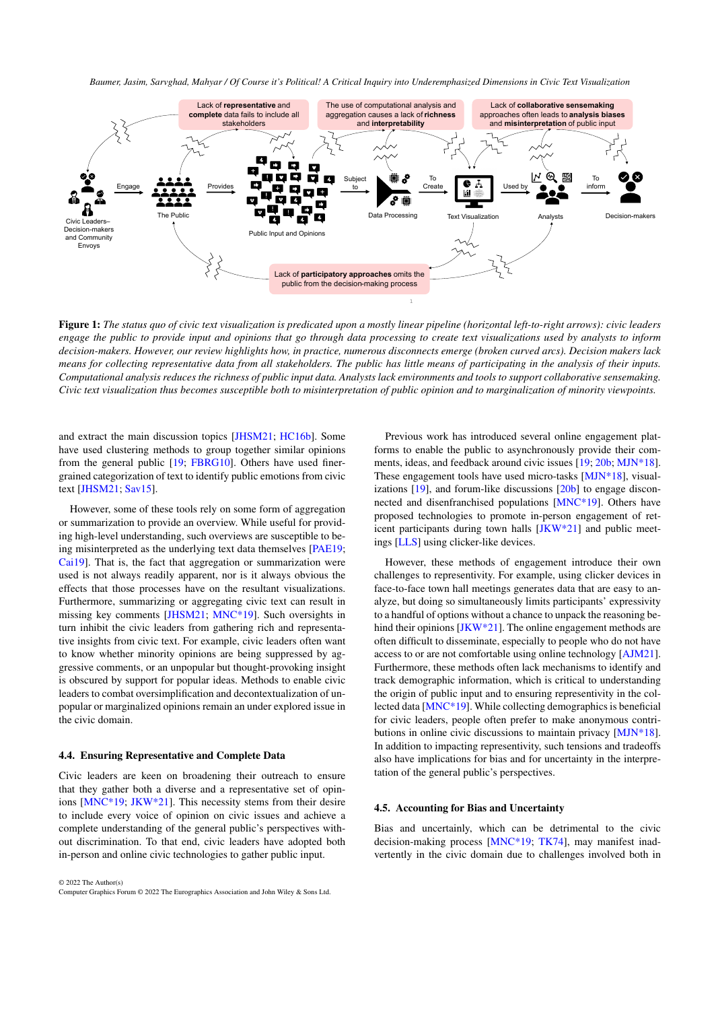

<span id="page-4-0"></span>Figure 1: *The status quo of civic text visualization is predicated upon a mostly linear pipeline (horizontal left-to-right arrows): civic leaders engage the public to provide input and opinions that go through data processing to create text visualizations used by analysts to inform decision-makers. However, our review highlights how, in practice, numerous disconnects emerge (broken curved arcs). Decision makers lack means for collecting representative data from all stakeholders. The public has little means of participating in the analysis of their inputs. Computational analysis reduces the richness of public input data. Analysts lack environments and tools to support collaborative sensemaking. Civic text visualization thus becomes susceptible both to misinterpretation of public opinion and to marginalization of minority viewpoints.*

and extract the main discussion topics [\[JHSM21;](#page-12-4) [HC16b\]](#page-11-6). Some have used clustering methods to group together similar opinions from the general public [\[19;](#page-10-1) [FBRG10\]](#page-11-5). Others have used finergrained categorization of text to identify public emotions from civic text [\[JHSM21;](#page-12-4) [Sav15\]](#page-13-14).

However, some of these tools rely on some form of aggregation or summarization to provide an overview. While useful for providing high-level understanding, such overviews are susceptible to being misinterpreted as the underlying text data themselves [\[PAE19;](#page-13-17) [Cai19\]](#page-10-25). That is, the fact that aggregation or summarization were used is not always readily apparent, nor is it always obvious the effects that those processes have on the resultant visualizations. Furthermore, summarizing or aggregating civic text can result in missing key comments [\[JHSM21;](#page-12-4) [MNC\\*19\]](#page-12-2). Such oversights in turn inhibit the civic leaders from gathering rich and representative insights from civic text. For example, civic leaders often want to know whether minority opinions are being suppressed by aggressive comments, or an unpopular but thought-provoking insight is obscured by support for popular ideas. Methods to enable civic leaders to combat oversimplification and decontextualization of unpopular or marginalized opinions remain an under explored issue in the civic domain.

#### <span id="page-4-2"></span>4.4. Ensuring Representative and Complete Data

Civic leaders are keen on broadening their outreach to ensure that they gather both a diverse and a representative set of opinions [\[MNC\\*19;](#page-12-2) [JKW\\*21\]](#page-12-22). This necessity stems from their desire to include every voice of opinion on civic issues and achieve a complete understanding of the general public's perspectives without discrimination. To that end, civic leaders have adopted both in-person and online civic technologies to gather public input.

© 2022 The Author(s) Computer Graphics Forum © 2022 The Eurographics Association and John Wiley & Sons Ltd.

Previous work has introduced several online engagement platforms to enable the public to asynchronously provide their comments, ideas, and feedback around civic issues [\[19;](#page-10-1) [20b;](#page-10-26) [MJN\\*18\]](#page-12-1). These engagement tools have used micro-tasks [\[MJN\\*18\]](#page-12-1), visualizations [\[19\]](#page-10-1), and forum-like discussions [\[20b\]](#page-10-26) to engage disconnected and disenfranchised populations [\[MNC\\*19\]](#page-12-2). Others have proposed technologies to promote in-person engagement of reticent participants during town halls [\[JKW\\*21\]](#page-12-22) and public meetings [\[LLS\]](#page-12-27) using clicker-like devices.

However, these methods of engagement introduce their own challenges to representivity. For example, using clicker devices in face-to-face town hall meetings generates data that are easy to analyze, but doing so simultaneously limits participants' expressivity to a handful of options without a chance to unpack the reasoning behind their opinions  $[JKW^*21]$ . The online engagement methods are often difficult to disseminate, especially to people who do not have access to or are not comfortable using online technology [\[AJM21\]](#page-10-19). Furthermore, these methods often lack mechanisms to identify and track demographic information, which is critical to understanding the origin of public input and to ensuring representivity in the collected data [\[MNC\\*19\]](#page-12-2). While collecting demographics is beneficial for civic leaders, people often prefer to make anonymous contributions in online civic discussions to maintain privacy [\[MJN\\*18\]](#page-12-1). In addition to impacting representivity, such tensions and tradeoffs also have implications for bias and for uncertainty in the interpretation of the general public's perspectives.

## <span id="page-4-1"></span>4.5. Accounting for Bias and Uncertainty

Bias and uncertainly, which can be detrimental to the civic decision-making process [\[MNC\\*19;](#page-12-2) [TK74\]](#page-13-18), may manifest inadvertently in the civic domain due to challenges involved both in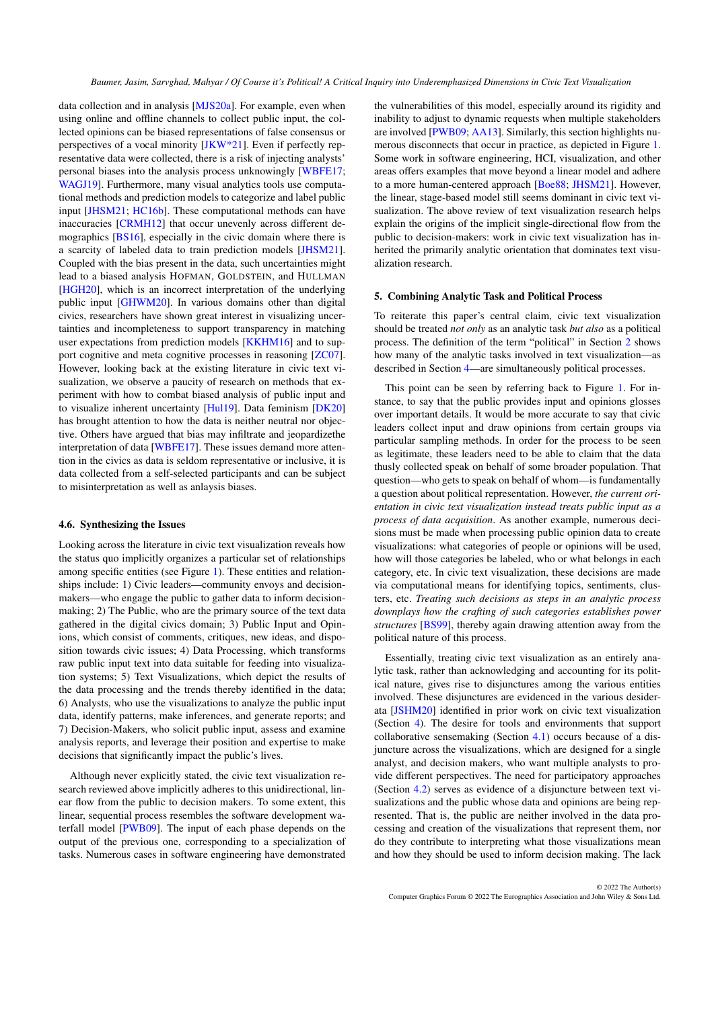data collection and in analysis [\[MJS20a\]](#page-12-28). For example, even when using online and offline channels to collect public input, the collected opinions can be biased representations of false consensus or perspectives of a vocal minority [\[JKW\\*21\]](#page-12-22). Even if perfectly representative data were collected, there is a risk of injecting analysts' personal biases into the analysis process unknowingly [\[WBFE17;](#page-13-15) [WAGJ19\]](#page-13-19). Furthermore, many visual analytics tools use computational methods and prediction models to categorize and label public input [\[JHSM21;](#page-12-4) [HC16b\]](#page-11-6). These computational methods can have inaccuracies [\[CRMH12\]](#page-11-18) that occur unevenly across different demographics [\[BS16\]](#page-10-27), especially in the civic domain where there is a scarcity of labeled data to train prediction models [\[JHSM21\]](#page-12-4). Coupled with the bias present in the data, such uncertainties might lead to a biased analysis HOFMAN, GOLDSTEIN, and HULLMAN [\[HGH20\]](#page-11-23), which is an incorrect interpretation of the underlying public input [\[GHWM20\]](#page-11-19). In various domains other than digital civics, researchers have shown great interest in visualizing uncertainties and incompleteness to support transparency in matching user expectations from prediction models [\[KKHM16\]](#page-12-29) and to support cognitive and meta cognitive processes in reasoning [\[ZC07\]](#page-13-20). However, looking back at the existing literature in civic text visualization, we observe a paucity of research on methods that experiment with how to combat biased analysis of public input and to visualize inherent uncertainty [\[Hul19\]](#page-11-24). Data feminism [\[DK20\]](#page-11-1) has brought attention to how the data is neither neutral nor objective. Others have argued that bias may infiltrate and jeopardizethe interpretation of data [\[WBFE17\]](#page-13-15). These issues demand more attention in the civics as data is seldom representative or inclusive, it is data collected from a self-selected participants and can be subject to misinterpretation as well as anlaysis biases.

#### <span id="page-5-1"></span>4.6. Synthesizing the Issues

Looking across the literature in civic text visualization reveals how the status quo implicitly organizes a particular set of relationships among specific entities (see Figure [1\)](#page-4-0). These entities and relationships include: 1) Civic leaders—community envoys and decisionmakers—who engage the public to gather data to inform decisionmaking; 2) The Public, who are the primary source of the text data gathered in the digital civics domain; 3) Public Input and Opinions, which consist of comments, critiques, new ideas, and disposition towards civic issues; 4) Data Processing, which transforms raw public input text into data suitable for feeding into visualization systems; 5) Text Visualizations, which depict the results of the data processing and the trends thereby identified in the data; 6) Analysts, who use the visualizations to analyze the public input data, identify patterns, make inferences, and generate reports; and 7) Decision-Makers, who solicit public input, assess and examine analysis reports, and leverage their position and expertise to make decisions that significantly impact the public's lives.

Although never explicitly stated, the civic text visualization research reviewed above implicitly adheres to this unidirectional, linear flow from the public to decision makers. To some extent, this linear, sequential process resembles the software development waterfall model [\[PWB09\]](#page-13-21). The input of each phase depends on the output of the previous one, corresponding to a specialization of tasks. Numerous cases in software engineering have demonstrated

the vulnerabilities of this model, especially around its rigidity and inability to adjust to dynamic requests when multiple stakeholders are involved [\[PWB09;](#page-13-21) [AA13\]](#page-10-28). Similarly, this section highlights numerous disconnects that occur in practice, as depicted in Figure [1.](#page-4-0) Some work in software engineering, HCI, visualization, and other areas offers examples that move beyond a linear model and adhere to a more human-centered approach [\[Boe88;](#page-10-29) [JHSM21\]](#page-12-4). However, the linear, stage-based model still seems dominant in civic text visualization. The above review of text visualization research helps explain the origins of the implicit single-directional flow from the public to decision-makers: work in civic text visualization has inherited the primarily analytic orientation that dominates text visualization research.

## <span id="page-5-0"></span>5. Combining Analytic Task and Political Process

To reiterate this paper's central claim, civic text visualization should be treated *not only* as an analytic task *but also* as a political process. The definition of the term "political" in Section [2](#page-1-0) shows how many of the analytic tasks involved in text visualization—as described in Section [4—](#page-3-0)are simultaneously political processes.

This point can be seen by referring back to Figure [1.](#page-4-0) For instance, to say that the public provides input and opinions glosses over important details. It would be more accurate to say that civic leaders collect input and draw opinions from certain groups via particular sampling methods. In order for the process to be seen as legitimate, these leaders need to be able to claim that the data thusly collected speak on behalf of some broader population. That question—who gets to speak on behalf of whom—is fundamentally a question about political representation. However, *the current orientation in civic text visualization instead treats public input as a process of data acquisition*. As another example, numerous decisions must be made when processing public opinion data to create visualizations: what categories of people or opinions will be used, how will those categories be labeled, who or what belongs in each category, etc. In civic text visualization, these decisions are made via computational means for identifying topics, sentiments, clusters, etc. *Treating such decisions as steps in an analytic process downplays how the crafting of such categories establishes power structures* [\[BS99\]](#page-10-7), thereby again drawing attention away from the political nature of this process.

Essentially, treating civic text visualization as an entirely analytic task, rather than acknowledging and accounting for its political nature, gives rise to disjunctures among the various entities involved. These disjunctures are evidenced in the various desiderata [\[JSHM20\]](#page-12-23) identified in prior work on civic text visualization (Section [4\)](#page-3-0). The desire for tools and environments that support collaborative sensemaking (Section [4.1\)](#page-3-1) occurs because of a disjuncture across the visualizations, which are designed for a single analyst, and decision makers, who want multiple analysts to provide different perspectives. The need for participatory approaches (Section [4.2\)](#page-3-2) serves as evidence of a disjuncture between text visualizations and the public whose data and opinions are being represented. That is, the public are neither involved in the data processing and creation of the visualizations that represent them, nor do they contribute to interpreting what those visualizations mean and how they should be used to inform decision making. The lack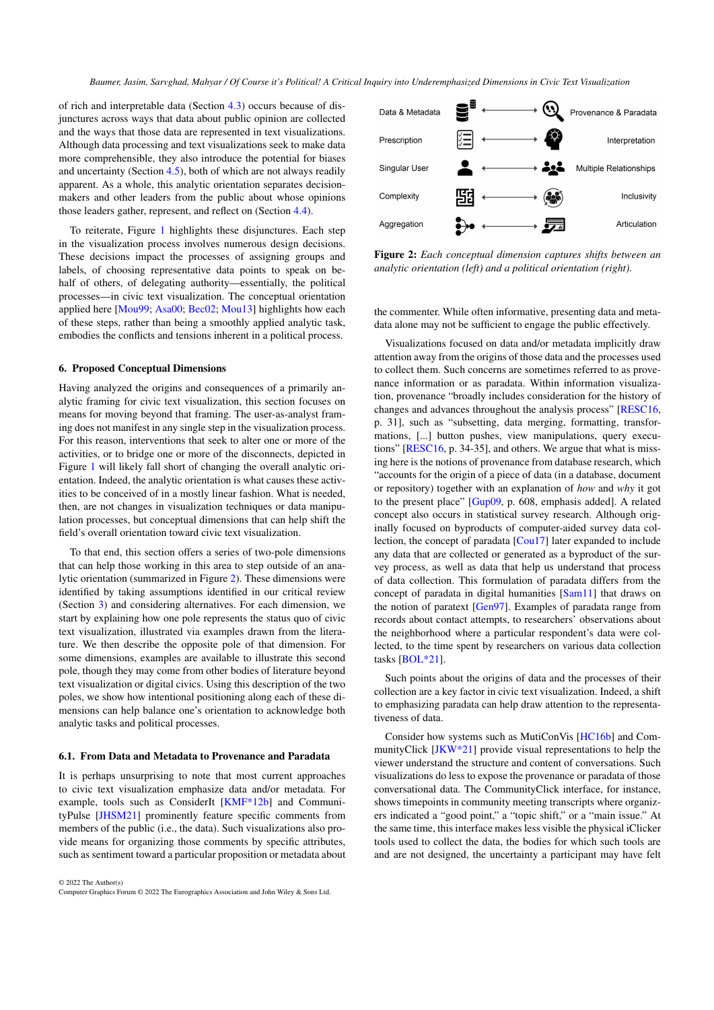of rich and interpretable data (Section [4.3\)](#page-3-3) occurs because of disjunctures across ways that data about public opinion are collected and the ways that those data are represented in text visualizations. Although data processing and text visualizations seek to make data more comprehensible, they also introduce the potential for biases and uncertainty (Section [4.5\)](#page-4-1), both of which are not always readily apparent. As a whole, this analytic orientation separates decisionmakers and other leaders from the public about whose opinions those leaders gather, represent, and reflect on (Section [4.4\)](#page-4-2).

To reiterate, Figure [1](#page-4-0) highlights these disjunctures. Each step in the visualization process involves numerous design decisions. These decisions impact the processes of assigning groups and labels, of choosing representative data points to speak on behalf of others, of delegating authority—essentially, the political processes—in civic text visualization. The conceptual orientation applied here [\[Mou99;](#page-12-13) [Asa00;](#page-10-5) [Bec02;](#page-10-6) [Mou13\]](#page-12-14) highlights how each of these steps, rather than being a smoothly applied analytic task, embodies the conflicts and tensions inherent in a political process.

#### <span id="page-6-0"></span>6. Proposed Conceptual Dimensions

Having analyzed the origins and consequences of a primarily analytic framing for civic text visualization, this section focuses on means for moving beyond that framing. The user-as-analyst framing does not manifest in any single step in the visualization process. For this reason, interventions that seek to alter one or more of the activities, or to bridge one or more of the disconnects, depicted in Figure [1](#page-4-0) will likely fall short of changing the overall analytic orientation. Indeed, the analytic orientation is what causes these activities to be conceived of in a mostly linear fashion. What is needed, then, are not changes in visualization techniques or data manipulation processes, but conceptual dimensions that can help shift the field's overall orientation toward civic text visualization.

To that end, this section offers a series of two-pole dimensions that can help those working in this area to step outside of an analytic orientation (summarized in Figure [2\)](#page-6-1). These dimensions were identified by taking assumptions identified in our critical review (Section [3\)](#page-1-1) and considering alternatives. For each dimension, we start by explaining how one pole represents the status quo of civic text visualization, illustrated via examples drawn from the literature. We then describe the opposite pole of that dimension. For some dimensions, examples are available to illustrate this second pole, though they may come from other bodies of literature beyond text visualization or digital civics. Using this description of the two poles, we show how intentional positioning along each of these dimensions can help balance one's orientation to acknowledge both analytic tasks and political processes.

#### 6.1. From Data and Metadata to Provenance and Paradata

It is perhaps unsurprising to note that most current approaches to civic text visualization emphasize data and/or metadata. For example, tools such as ConsiderIt [\[KMF\\*12b\]](#page-12-24) and CommunityPulse [\[JHSM21\]](#page-12-4) prominently feature specific comments from members of the public (i.e., the data). Such visualizations also provide means for organizing those comments by specific attributes, such as sentiment toward a particular proposition or metadata about

© 2022 The Author(s) Computer Graphics Forum © 2022 The Eurographics Association and John Wiley & Sons Ltd.



<span id="page-6-1"></span>Figure 2: *Each conceptual dimension captures shifts between an analytic orientation (left) and a political orientation (right).*

the commenter. While often informative, presenting data and metadata alone may not be sufficient to engage the public effectively.

Visualizations focused on data and/or metadata implicitly draw attention away from the origins of those data and the processes used to collect them. Such concerns are sometimes referred to as provenance information or as paradata. Within information visualization, provenance "broadly includes consideration for the history of changes and advances throughout the analysis process" [\[RESC16,](#page-13-22) p. 31], such as "subsetting, data merging, formatting, transformations, [...] button pushes, view manipulations, query executions" [\[RESC16,](#page-13-22) p. 34-35], and others. We argue that what is missing here is the notions of provenance from database research, which "accounts for the origin of a piece of data (in a database, document or repository) together with an explanation of *how* and *why* it got to the present place" [\[Gup09,](#page-11-25) p. 608, emphasis added]. A related concept also occurs in statistical survey research. Although originally focused on byproducts of computer-aided survey data collection, the concept of paradata [\[Cou17\]](#page-11-26) later expanded to include any data that are collected or generated as a byproduct of the survey process, as well as data that help us understand that process of data collection. This formulation of paradata differs from the concept of paradata in digital humanities [\[Sam11\]](#page-13-23) that draws on the notion of paratext [\[Gen97\]](#page-11-27). Examples of paradata range from records about contact attempts, to researchers' observations about the neighborhood where a particular respondent's data were collected, to the time spent by researchers on various data collection tasks [\[BOL\\*21\]](#page-10-30).

Such points about the origins of data and the processes of their collection are a key factor in civic text visualization. Indeed, a shift to emphasizing paradata can help draw attention to the representativeness of data.

Consider how systems such as MutiConVis [\[HC16b\]](#page-11-6) and CommunityClick [\[JKW\\*21\]](#page-12-22) provide visual representations to help the viewer understand the structure and content of conversations. Such visualizations do less to expose the provenance or paradata of those conversational data. The CommunityClick interface, for instance, shows timepoints in community meeting transcripts where organizers indicated a "good point," a "topic shift," or a "main issue." At the same time, this interface makes less visible the physical iClicker tools used to collect the data, the bodies for which such tools are and are not designed, the uncertainty a participant may have felt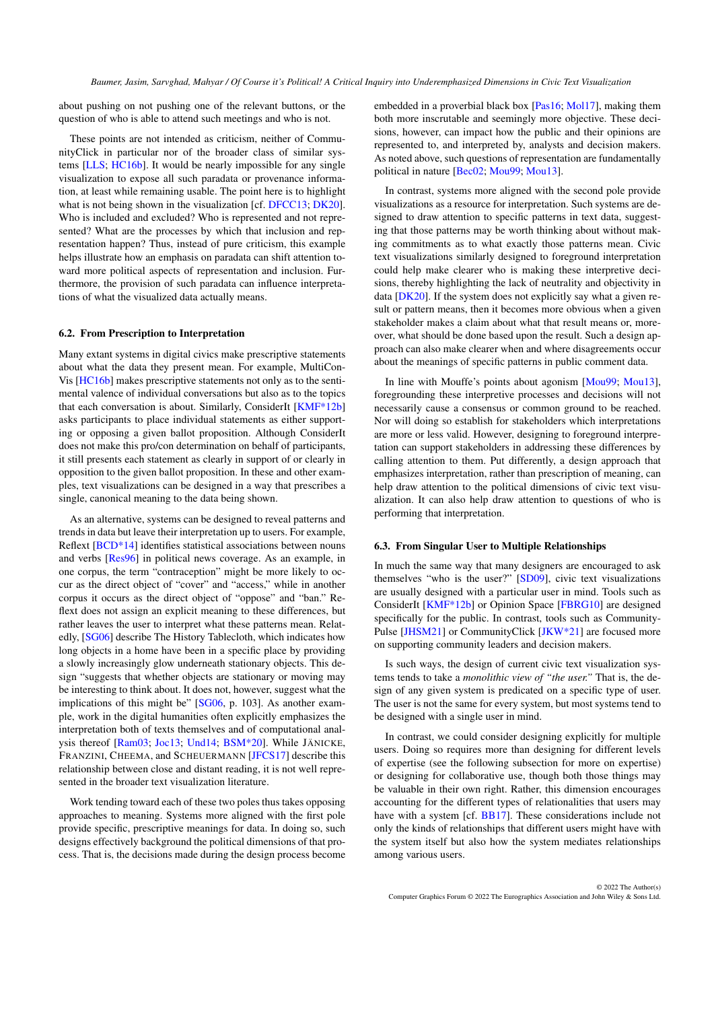about pushing on not pushing one of the relevant buttons, or the question of who is able to attend such meetings and who is not.

These points are not intended as criticism, neither of CommunityClick in particular nor of the broader class of similar systems [\[LLS;](#page-12-27) [HC16b\]](#page-11-6). It would be nearly impossible for any single visualization to expose all such paradata or provenance information, at least while remaining usable. The point here is to highlight what is not being shown in the visualization [cf. [DFCC13;](#page-11-2) [DK20\]](#page-11-1). Who is included and excluded? Who is represented and not represented? What are the processes by which that inclusion and representation happen? Thus, instead of pure criticism, this example helps illustrate how an emphasis on paradata can shift attention toward more political aspects of representation and inclusion. Furthermore, the provision of such paradata can influence interpretations of what the visualized data actually means.

# 6.2. From Prescription to Interpretation

Many extant systems in digital civics make prescriptive statements about what the data they present mean. For example, MultiCon-Vis [\[HC16b\]](#page-11-6) makes prescriptive statements not only as to the sentimental valence of individual conversations but also as to the topics that each conversation is about. Similarly, ConsiderIt [\[KMF\\*12b\]](#page-12-24) asks participants to place individual statements as either supporting or opposing a given ballot proposition. Although ConsiderIt does not make this pro/con determination on behalf of participants, it still presents each statement as clearly in support of or clearly in opposition to the given ballot proposition. In these and other examples, text visualizations can be designed in a way that prescribes a single, canonical meaning to the data being shown.

As an alternative, systems can be designed to reveal patterns and trends in data but leave their interpretation up to users. For example, Reflext [\[BCD\\*14\]](#page-10-31) identifies statistical associations between nouns and verbs [\[Res96\]](#page-13-24) in political news coverage. As an example, in one corpus, the term "contraception" might be more likely to occur as the direct object of "cover" and "access," while in another corpus it occurs as the direct object of "oppose" and "ban." Reflext does not assign an explicit meaning to these differences, but rather leaves the user to interpret what these patterns mean. Relatedly, [\[SG06\]](#page-13-25) describe The History Tablecloth, which indicates how long objects in a home have been in a specific place by providing a slowly increasingly glow underneath stationary objects. This design "suggests that whether objects are stationary or moving may be interesting to think about. It does not, however, suggest what the implications of this might be" [\[SG06,](#page-13-25) p. 103]. As another example, work in the digital humanities often explicitly emphasizes the interpretation both of texts themselves and of computational analysis thereof [\[Ram03;](#page-13-26) [Joc13;](#page-12-30) [Und14;](#page-13-27) [BSM\\*20\]](#page-10-32). While JÄNICKE, FRANZINI, CHEEMA, and SCHEUERMANN [\[JFCS17\]](#page-12-9) describe this relationship between close and distant reading, it is not well represented in the broader text visualization literature.

Work tending toward each of these two poles thus takes opposing approaches to meaning. Systems more aligned with the first pole provide specific, prescriptive meanings for data. In doing so, such designs effectively background the political dimensions of that process. That is, the decisions made during the design process become

embedded in a proverbial black box [\[Pas16;](#page-13-28) [Mol17\]](#page-12-31), making them both more inscrutable and seemingly more objective. These decisions, however, can impact how the public and their opinions are represented to, and interpreted by, analysts and decision makers. As noted above, such questions of representation are fundamentally political in nature [\[Bec02;](#page-10-6) [Mou99;](#page-12-13) [Mou13\]](#page-12-14).

In contrast, systems more aligned with the second pole provide visualizations as a resource for interpretation. Such systems are designed to draw attention to specific patterns in text data, suggesting that those patterns may be worth thinking about without making commitments as to what exactly those patterns mean. Civic text visualizations similarly designed to foreground interpretation could help make clearer who is making these interpretive decisions, thereby highlighting the lack of neutrality and objectivity in data [\[DK20\]](#page-11-1). If the system does not explicitly say what a given result or pattern means, then it becomes more obvious when a given stakeholder makes a claim about what that result means or, moreover, what should be done based upon the result. Such a design approach can also make clearer when and where disagreements occur about the meanings of specific patterns in public comment data.

In line with Mouffe's points about agonism [\[Mou99;](#page-12-13) [Mou13\]](#page-12-14), foregrounding these interpretive processes and decisions will not necessarily cause a consensus or common ground to be reached. Nor will doing so establish for stakeholders which interpretations are more or less valid. However, designing to foreground interpretation can support stakeholders in addressing these differences by calling attention to them. Put differently, a design approach that emphasizes interpretation, rather than prescription of meaning, can help draw attention to the political dimensions of civic text visualization. It can also help draw attention to questions of who is performing that interpretation.

## 6.3. From Singular User to Multiple Relationships

In much the same way that many designers are encouraged to ask themselves "who is the user?" [\[SD09\]](#page-13-29), civic text visualizations are usually designed with a particular user in mind. Tools such as ConsiderIt [\[KMF\\*12b\]](#page-12-24) or Opinion Space [\[FBRG10\]](#page-11-5) are designed specifically for the public. In contrast, tools such as Community-Pulse [\[JHSM21\]](#page-12-4) or CommunityClick [\[JKW\\*21\]](#page-12-22) are focused more on supporting community leaders and decision makers.

Is such ways, the design of current civic text visualization systems tends to take a *monolithic view of "the user."* That is, the design of any given system is predicated on a specific type of user. The user is not the same for every system, but most systems tend to be designed with a single user in mind.

In contrast, we could consider designing explicitly for multiple users. Doing so requires more than designing for different levels of expertise (see the following subsection for more on expertise) or designing for collaborative use, though both those things may be valuable in their own right. Rather, this dimension encourages accounting for the different types of relationalities that users may have with a system [cf. [BB17\]](#page-10-11). These considerations include not only the kinds of relationships that different users might have with the system itself but also how the system mediates relationships among various users.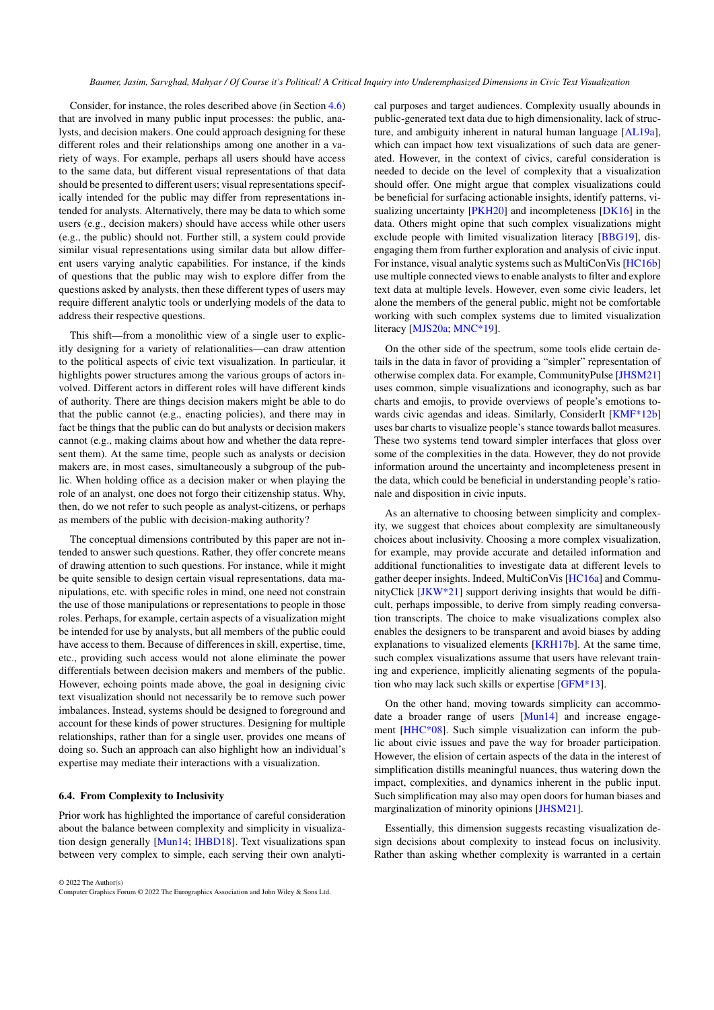Consider, for instance, the roles described above (in Section [4.6\)](#page-5-1) that are involved in many public input processes: the public, analysts, and decision makers. One could approach designing for these different roles and their relationships among one another in a variety of ways. For example, perhaps all users should have access to the same data, but different visual representations of that data should be presented to different users; visual representations specifically intended for the public may differ from representations intended for analysts. Alternatively, there may be data to which some users (e.g., decision makers) should have access while other users (e.g., the public) should not. Further still, a system could provide similar visual representations using similar data but allow different users varying analytic capabilities. For instance, if the kinds of questions that the public may wish to explore differ from the questions asked by analysts, then these different types of users may require different analytic tools or underlying models of the data to address their respective questions.

This shift—from a monolithic view of a single user to explicitly designing for a variety of relationalities—can draw attention to the political aspects of civic text visualization. In particular, it highlights power structures among the various groups of actors involved. Different actors in different roles will have different kinds of authority. There are things decision makers might be able to do that the public cannot (e.g., enacting policies), and there may in fact be things that the public can do but analysts or decision makers cannot (e.g., making claims about how and whether the data represent them). At the same time, people such as analysts or decision makers are, in most cases, simultaneously a subgroup of the public. When holding office as a decision maker or when playing the role of an analyst, one does not forgo their citizenship status. Why, then, do we not refer to such people as analyst-citizens, or perhaps as members of the public with decision-making authority?

The conceptual dimensions contributed by this paper are not intended to answer such questions. Rather, they offer concrete means of drawing attention to such questions. For instance, while it might be quite sensible to design certain visual representations, data manipulations, etc. with specific roles in mind, one need not constrain the use of those manipulations or representations to people in those roles. Perhaps, for example, certain aspects of a visualization might be intended for use by analysts, but all members of the public could have access to them. Because of differences in skill, expertise, time, etc., providing such access would not alone eliminate the power differentials between decision makers and members of the public. However, echoing points made above, the goal in designing civic text visualization should not necessarily be to remove such power imbalances. Instead, systems should be designed to foreground and account for these kinds of power structures. Designing for multiple relationships, rather than for a single user, provides one means of doing so. Such an approach can also highlight how an individual's expertise may mediate their interactions with a visualization.

### 6.4. From Complexity to Inclusivity

Prior work has highlighted the importance of careful consideration about the balance between complexity and simplicity in visualization design generally [\[Mun14;](#page-12-25) [IHBD18\]](#page-11-28). Text visualizations span between very complex to simple, each serving their own analyti-

© 2022 The Author(s) Computer Graphics Forum © 2022 The Eurographics Association and John Wiley & Sons Ltd. cal purposes and target audiences. Complexity usually abounds in public-generated text data due to high dimensionality, lack of structure, and ambiguity inherent in natural human language [\[AL19a\]](#page-10-33), which can impact how text visualizations of such data are generated. However, in the context of civics, careful consideration is needed to decide on the level of complexity that a visualization should offer. One might argue that complex visualizations could be beneficial for surfacing actionable insights, identify patterns, vi-sualizing uncertainty [\[PKH20\]](#page-13-30) and incompleteness [\[DK16\]](#page-11-16) in the data. Others might opine that such complex visualizations might exclude people with limited visualization literacy [\[BBG19\]](#page-10-34), disengaging them from further exploration and analysis of civic input. For instance, visual analytic systems such as MultiConVis [\[HC16b\]](#page-11-6) use multiple connected views to enable analysts to filter and explore text data at multiple levels. However, even some civic leaders, let alone the members of the general public, might not be comfortable working with such complex systems due to limited visualization literacy [\[MJS20a;](#page-12-28) [MNC\\*19\]](#page-12-2).

On the other side of the spectrum, some tools elide certain details in the data in favor of providing a "simpler" representation of otherwise complex data. For example, CommunityPulse [\[JHSM21\]](#page-12-4) uses common, simple visualizations and iconography, such as bar charts and emojis, to provide overviews of people's emotions towards civic agendas and ideas. Similarly, ConsiderIt [KMF<sup>\*12b]</sup> uses bar charts to visualize people's stance towards ballot measures. These two systems tend toward simpler interfaces that gloss over some of the complexities in the data. However, they do not provide information around the uncertainty and incompleteness present in the data, which could be beneficial in understanding people's rationale and disposition in civic inputs.

As an alternative to choosing between simplicity and complexity, we suggest that choices about complexity are simultaneously choices about inclusivity. Choosing a more complex visualization, for example, may provide accurate and detailed information and additional functionalities to investigate data at different levels to gather deeper insights. Indeed, MultiConVis [\[HC16a\]](#page-11-29) and CommunityClick [\[JKW\\*21\]](#page-12-22) support deriving insights that would be difficult, perhaps impossible, to derive from simply reading conversation transcripts. The choice to make visualizations complex also enables the designers to be transparent and avoid biases by adding explanations to visualized elements [\[KRH17b\]](#page-12-32). At the same time, such complex visualizations assume that users have relevant training and experience, implicitly alienating segments of the population who may lack such skills or expertise [\[GFM\\*13\]](#page-11-30).

On the other hand, moving towards simplicity can accommodate a broader range of users [\[Mun14\]](#page-12-25) and increase engagement [\[HHC\\*08\]](#page-11-31). Such simple visualization can inform the public about civic issues and pave the way for broader participation. However, the elision of certain aspects of the data in the interest of simplification distills meaningful nuances, thus watering down the impact, complexities, and dynamics inherent in the public input. Such simplification may also may open doors for human biases and marginalization of minority opinions [\[JHSM21\]](#page-12-4).

Essentially, this dimension suggests recasting visualization design decisions about complexity to instead focus on inclusivity. Rather than asking whether complexity is warranted in a certain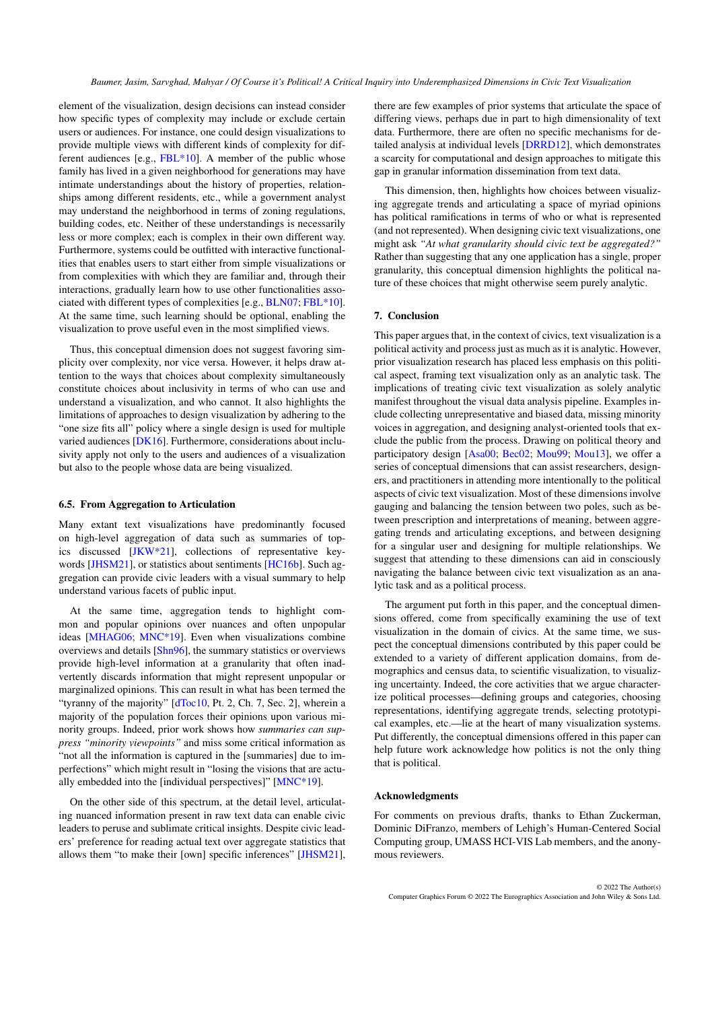element of the visualization, design decisions can instead consider how specific types of complexity may include or exclude certain users or audiences. For instance, one could design visualizations to provide multiple views with different kinds of complexity for different audiences [e.g., [FBL\\*10\]](#page-11-32). A member of the public whose family has lived in a given neighborhood for generations may have intimate understandings about the history of properties, relationships among different residents, etc., while a government analyst may understand the neighborhood in terms of zoning regulations, building codes, etc. Neither of these understandings is necessarily less or more complex; each is complex in their own different way. Furthermore, systems could be outfitted with interactive functionalities that enables users to start either from simple visualizations or from complexities with which they are familiar and, through their interactions, gradually learn how to use other functionalities associated with different types of complexities [e.g., [BLN07;](#page-10-35) [FBL\\*10\]](#page-11-32). At the same time, such learning should be optional, enabling the visualization to prove useful even in the most simplified views.

Thus, this conceptual dimension does not suggest favoring simplicity over complexity, nor vice versa. However, it helps draw attention to the ways that choices about complexity simultaneously constitute choices about inclusivity in terms of who can use and understand a visualization, and who cannot. It also highlights the limitations of approaches to design visualization by adhering to the "one size fits all" policy where a single design is used for multiple varied audiences [\[DK16\]](#page-11-16). Furthermore, considerations about inclusivity apply not only to the users and audiences of a visualization but also to the people whose data are being visualized.

## 6.5. From Aggregation to Articulation

Many extant text visualizations have predominantly focused on high-level aggregation of data such as summaries of topics discussed [\[JKW\\*21\]](#page-12-22), collections of representative keywords [\[JHSM21\]](#page-12-4), or statistics about sentiments [\[HC16b\]](#page-11-6). Such aggregation can provide civic leaders with a visual summary to help understand various facets of public input.

At the same time, aggregation tends to highlight common and popular opinions over nuances and often unpopular ideas [\[MHAG06;](#page-12-18) [MNC\\*19\]](#page-12-2). Even when visualizations combine overviews and details [\[Shn96\]](#page-13-31), the summary statistics or overviews provide high-level information at a granularity that often inadvertently discards information that might represent unpopular or marginalized opinions. This can result in what has been termed the "tyranny of the majority" [\[dToc10,](#page-11-33) Pt. 2, Ch. 7, Sec. 2], wherein a majority of the population forces their opinions upon various minority groups. Indeed, prior work shows how *summaries can suppress "minority viewpoints"* and miss some critical information as "not all the information is captured in the [summaries] due to imperfections" which might result in "losing the visions that are actually embedded into the [individual perspectives]" [\[MNC\\*19\]](#page-12-2).

On the other side of this spectrum, at the detail level, articulating nuanced information present in raw text data can enable civic leaders to peruse and sublimate critical insights. Despite civic leaders' preference for reading actual text over aggregate statistics that allows them "to make their [own] specific inferences" [\[JHSM21\]](#page-12-4),

there are few examples of prior systems that articulate the space of differing views, perhaps due in part to high dimensionality of text data. Furthermore, there are often no specific mechanisms for detailed analysis at individual levels [\[DRRD12\]](#page-11-20), which demonstrates a scarcity for computational and design approaches to mitigate this gap in granular information dissemination from text data.

This dimension, then, highlights how choices between visualizing aggregate trends and articulating a space of myriad opinions has political ramifications in terms of who or what is represented (and not represented). When designing civic text visualizations, one might ask *"At what granularity should civic text be aggregated?"* Rather than suggesting that any one application has a single, proper granularity, this conceptual dimension highlights the political nature of these choices that might otherwise seem purely analytic.

#### 7. Conclusion

This paper argues that, in the context of civics, text visualization is a political activity and process just as much as it is analytic. However, prior visualization research has placed less emphasis on this political aspect, framing text visualization only as an analytic task. The implications of treating civic text visualization as solely analytic manifest throughout the visual data analysis pipeline. Examples include collecting unrepresentative and biased data, missing minority voices in aggregation, and designing analyst-oriented tools that exclude the public from the process. Drawing on political theory and participatory design [\[Asa00;](#page-10-5) [Bec02;](#page-10-6) [Mou99;](#page-12-13) [Mou13\]](#page-12-14), we offer a series of conceptual dimensions that can assist researchers, designers, and practitioners in attending more intentionally to the political aspects of civic text visualization. Most of these dimensions involve gauging and balancing the tension between two poles, such as between prescription and interpretations of meaning, between aggregating trends and articulating exceptions, and between designing for a singular user and designing for multiple relationships. We suggest that attending to these dimensions can aid in consciously navigating the balance between civic text visualization as an analytic task and as a political process.

The argument put forth in this paper, and the conceptual dimensions offered, come from specifically examining the use of text visualization in the domain of civics. At the same time, we suspect the conceptual dimensions contributed by this paper could be extended to a variety of different application domains, from demographics and census data, to scientific visualization, to visualizing uncertainty. Indeed, the core activities that we argue characterize political processes—defining groups and categories, choosing representations, identifying aggregate trends, selecting prototypical examples, etc.—lie at the heart of many visualization systems. Put differently, the conceptual dimensions offered in this paper can help future work acknowledge how politics is not the only thing that is political.

#### Acknowledgments

For comments on previous drafts, thanks to Ethan Zuckerman, Dominic DiFranzo, members of Lehigh's Human-Centered Social Computing group, UMASS HCI-VIS Lab members, and the anonymous reviewers.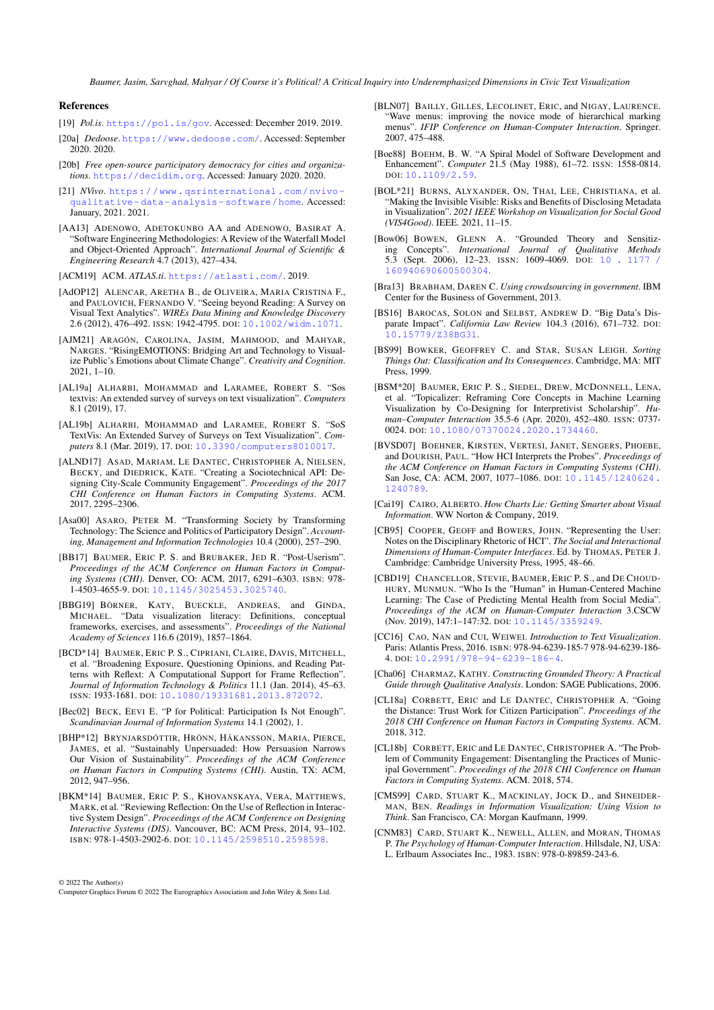#### References

- <span id="page-10-1"></span>[19] *Pol.is*. <https://pol.is/gov>. Accessed: December 2019. 2019.
- <span id="page-10-21"></span>[20a] *Dedoose*. <https://www.dedoose.com/>. Accessed: September 2020. 2020.
- <span id="page-10-26"></span>[20b] *Free open-source participatory democracy for cities and organizations*. <https://decidim.org>. Accessed: January 2020. 2020.
- <span id="page-10-20"></span>[21] *NVivo*. [https://www.qsrinternational.com/nvivo](https://www.qsrinternational.com/nvivo-qualitative-data-analysis-software/home)[qualitative- data- analysis- software/home](https://www.qsrinternational.com/nvivo-qualitative-data-analysis-software/home). Accessed: January, 2021. 2021.
- <span id="page-10-28"></span>[AA13] ADENOWO, ADETOKUNBO AA and ADENOWO, BASIRAT A. "Software Engineering Methodologies: A Review of the Waterfall Model and Object-Oriented Approach". *International Journal of Scientific & Engineering Research* 4.7 (2013), 427–434.

<span id="page-10-22"></span>[ACM19] ACM. *ATLAS.ti*. <https://atlasti.com/>. 2019.

- <span id="page-10-2"></span>[AdOP12] ALENCAR, ARETHA B., de OLIVEIRA, MARIA CRISTINA F., and PAULOVICH, FERNANDO V. "Seeing beyond Reading: A Survey on Visual Text Analytics". *WIREs Data Mining and Knowledge Discovery* 2.6 (2012), 476–492. ISSN: 1942-4795. DOI: [10.1002/widm.1071](https://doi.org/10.1002/widm.1071).
- <span id="page-10-19"></span>[AJM21] ARAGÓN, CAROLINA, JASIM, MAHMOOD, and MAHYAR, NARGES. "RisingEMOTIONS: Bridging Art and Technology to Visualize Public's Emotions about Climate Change". *Creativity and Cognition*. 2021, 1–10.
- <span id="page-10-33"></span>[AL19a] ALHARBI, MOHAMMAD and LARAMEE, ROBERT S. "Sos textvis: An extended survey of surveys on text visualization". *Computers* 8.1 (2019), 17.
- <span id="page-10-4"></span>[AL19b] ALHARBI, MOHAMMAD and LARAMEE, ROBERT S. "SoS TextVis: An Extended Survey of Surveys on Text Visualization". *Computers* 8.1 (Mar. 2019), 17. DOI: [10.3390/computers8010017](https://doi.org/10.3390/computers8010017).
- <span id="page-10-18"></span>[ALND17] ASAD, MARIAM, LE DANTEC, CHRISTOPHER A, NIELSEN, BECKY, and DIEDRICK, KATE. "Creating a Sociotechnical API: Designing City-Scale Community Engagement". *Proceedings of the 2017 CHI Conference on Human Factors in Computing Systems*. ACM. 2017, 2295–2306.
- <span id="page-10-5"></span>[Asa00] ASARO, PETER M. "Transforming Society by Transforming Technology: The Science and Politics of Participatory Design". *Accounting, Management and Information Technologies* 10.4 (2000), 257–290.
- <span id="page-10-11"></span>[BB17] BAUMER, ERIC P. S. and BRUBAKER, JED R. "Post-Userism". *Proceedings of the ACM Conference on Human Factors in Computing Systems (CHI)*. Denver, CO: ACM, 2017, 6291–6303. ISBN: 978- 1-4503-4655-9. DOI: [10.1145/3025453.3025740](https://doi.org/10.1145/3025453.3025740).
- <span id="page-10-34"></span>[BBG19] BÖRNER, KATY, BUECKLE, ANDREAS, and GINDA, MICHAEL. "Data visualization literacy: Definitions, conceptual frameworks, exercises, and assessments". *Proceedings of the National Academy of Sciences* 116.6 (2019), 1857–1864.
- <span id="page-10-31"></span>[BCD\*14] BAUMER, ERIC P. S., CIPRIANI, CLAIRE, DAVIS, MITCHELL, et al. "Broadening Exposure, Questioning Opinions, and Reading Patterns with Reflext: A Computational Support for Frame Reflection". *Journal of Information Technology & Politics* 11.1 (Jan. 2014), 45–63. ISSN: 1933-1681. DOI: [10.1080/19331681.2013.872072](https://doi.org/10.1080/19331681.2013.872072).
- <span id="page-10-6"></span>[Bec02] BECK, EEVI E. "P for Political: Participation Is Not Enough". *Scandinavian Journal of Information Systems* 14.1 (2002), 1.
- <span id="page-10-9"></span>[BHP\*12] BRYNJARSDÓTTIR, HRÖNN, HÅKANSSON, MARIA, PIERCE, JAMES, et al. "Sustainably Unpersuaded: How Persuasion Narrows Our Vision of Sustainability". *Proceedings of the ACM Conference on Human Factors in Computing Systems (CHI)*. Austin, TX: ACM, 2012, 947–956.
- <span id="page-10-10"></span>[BKM\*14] BAUMER, ERIC P. S., KHOVANSKAYA, VERA, MATTHEWS, MARK, et al. "Reviewing Reflection: On the Use of Reflection in Interactive System Design". *Proceedings of the ACM Conference on Designing Interactive Systems (DIS)*. Vancouver, BC: ACM Press, 2014, 93–102. ISBN: 978-1-4503-2902-6. DOI: [10.1145/2598510.2598598](https://doi.org/10.1145/2598510.2598598).
- © 2022 The Author(s)

Computer Graphics Forum © 2022 The Eurographics Association and John Wiley & Sons Ltd.

- <span id="page-10-35"></span>[BLN07] BAILLY, GILLES, LECOLINET, ERIC, and NIGAY, LAURENCE. "Wave menus: improving the novice mode of hierarchical marking menus". *IFIP Conference on Human-Computer Interaction*. Springer. 2007, 475–488.
- <span id="page-10-29"></span>[Boe88] BOEHM, B. W. "A Spiral Model of Software Development and Enhancement". *Computer* 21.5 (May 1988), 61–72. ISSN: 1558-0814. DOI: [10.1109/2.59](https://doi.org/10.1109/2.59).
- <span id="page-10-30"></span>[BOL\*21] BURNS, ALYXANDER, ON, THAI, LEE, CHRISTIANA, et al. "Making the Invisible Visible: Risks and Benefits of Disclosing Metadata in Visualization". *2021 IEEE Workshop on Visualization for Social Good (VIS4Good)*. IEEE. 2021, 11–15.
- <span id="page-10-13"></span>[Bow06] BOWEN, GLENN A. "Grounded Theory and Sensitizing Concepts". *International Journal of Qualitative Methods* 5.3 (Sept. 2006), 12–23. ISSN: 1609-4069. DOI: [10 . 1177 /](https://doi.org/10.1177/160940690600500304) [160940690600500304](https://doi.org/10.1177/160940690600500304).
- <span id="page-10-0"></span>[Bra13] BRABHAM, DAREN C. *Using crowdsourcing in government*. IBM Center for the Business of Government, 2013.
- <span id="page-10-27"></span>[BS16] BAROCAS, SOLON and SELBST, ANDREW D. "Big Data's Disparate Impact". *California Law Review* 104.3 (2016), 671–732. DOI: [10.15779/Z38BG31](https://doi.org/10.15779/Z38BG31).
- <span id="page-10-7"></span>[BS99] BOWKER, GEOFFREY C. and STAR, SUSAN LEIGH. *Sorting Things Out: Classification and Its Consequences*. Cambridge, MA: MIT Press, 1999.
- <span id="page-10-32"></span>[BSM\*20] BAUMER, ERIC P. S., SIEDEL, DREW, MCDONNELL, LENA, et al. "Topicalizer: Reframing Core Concepts in Machine Learning Visualization by Co-Designing for Interpretivist Scholarship". *Human–Computer Interaction* 35.5-6 (Apr. 2020), 452–480. ISSN: 0737- 0024. DOI: [10.1080/07370024.2020.1734460](https://doi.org/10.1080/07370024.2020.1734460).
- <span id="page-10-8"></span>[BVSD07] BOEHNER, KIRSTEN, VERTESI, JANET, SENGERS, PHOEBE, and DOURISH, PAUL. "How HCI Interprets the Probes". *Proceedings of the ACM Conference on Human Factors in Computing Systems (CHI)*. San Jose, CA: ACM, 2007, 1077–1086. DOI: [10.1145/1240624.](https://doi.org/10.1145/1240624.1240789) [1240789](https://doi.org/10.1145/1240624.1240789).
- <span id="page-10-25"></span>[Cai19] CAIRO, ALBERTO. *How Charts Lie: Getting Smarter about Visual Information*. WW Norton & Company, 2019.
- <span id="page-10-17"></span>[CB95] COOPER, GEOFF and BOWERS, JOHN. "Representing the User: Notes on the Disciplinary Rhetoric of HCI". *The Social and Interactional Dimensions of Human-Computer Interfaces*. Ed. by THOMAS, PETER J. Cambridge: Cambridge University Press, 1995, 48–66.
- <span id="page-10-12"></span>[CBD19] CHANCELLOR, STEVIE, BAUMER, ERIC P. S., and DE CHOUD-HURY, MUNMUN. "Who Is the "Human" in Human-Centered Machine Learning: The Case of Predicting Mental Health from Social Media". *Proceedings of the ACM on Human-Computer Interaction* 3.CSCW (Nov. 2019), 147:1–147:32. DOI: [10.1145/3359249](https://doi.org/10.1145/3359249).
- <span id="page-10-3"></span>[CC16] CAO, NAN and CUI, WEIWEI. *Introduction to Text Visualization*. Paris: Atlantis Press, 2016. ISBN: 978-94-6239-185-7 978-94-6239-186- 4. DOI: [10.2991/978-94-6239-186-4](https://doi.org/10.2991/978-94-6239-186-4).
- <span id="page-10-14"></span>[Cha06] CHARMAZ, KATHY. *Constructing Grounded Theory: A Practical Guide through Qualitative Analysis*. London: SAGE Publications, 2006.
- <span id="page-10-24"></span>[CL18a] CORBETT, ERIC and LE DANTEC, CHRISTOPHER A. "Going the Distance: Trust Work for Citizen Participation". *Proceedings of the 2018 CHI Conference on Human Factors in Computing Systems*. ACM. 2018, 312.
- <span id="page-10-23"></span>[CL18b] CORBETT, ERIC and LE DANTEC, CHRISTOPHER A. "The Problem of Community Engagement: Disentangling the Practices of Municipal Government". *Proceedings of the 2018 CHI Conference on Human Factors in Computing Systems*. ACM. 2018, 574.
- <span id="page-10-15"></span>[CMS99] CARD, STUART K., MACKINLAY, JOCK D., and SHNEIDER-MAN, BEN. *Readings in Information Visualization: Using Vision to Think*. San Francisco, CA: Morgan Kaufmann, 1999.
- <span id="page-10-16"></span>[CNM83] CARD, STUART K., NEWELL, ALLEN, and MORAN, THOMAS P. *The Psychology of Human-Computer Interaction*. Hillsdale, NJ, USA: L. Erlbaum Associates Inc., 1983. ISBN: 978-0-89859-243-6.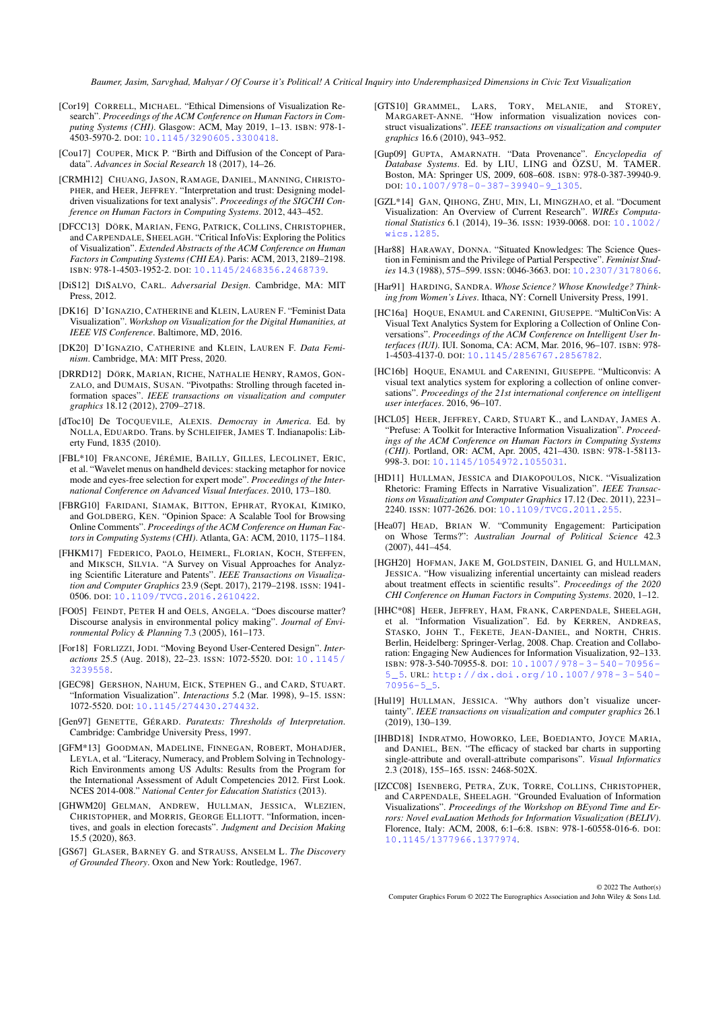- <span id="page-11-0"></span>[Cor19] CORRELL, MICHAEL. "Ethical Dimensions of Visualization Research". *Proceedings of the ACM Conference on Human Factors in Computing Systems (CHI)*. Glasgow: ACM, May 2019, 1–13. ISBN: 978-1- 4503-5970-2. DOI: [10.1145/3290605.3300418](https://doi.org/10.1145/3290605.3300418).
- <span id="page-11-26"></span>[Cou17] COUPER, MICK P. "Birth and Diffusion of the Concept of Paradata". *Advances in Social Research* 18 (2017), 14–26.
- <span id="page-11-18"></span>[CRMH12] CHUANG, JASON, RAMAGE, DANIEL, MANNING, CHRISTO-PHER, and HEER, JEFFREY. "Interpretation and trust: Designing modeldriven visualizations for text analysis". *Proceedings of the SIGCHI Conference on Human Factors in Computing Systems*. 2012, 443–452.
- <span id="page-11-2"></span>[DFCC13] DÖRK, MARIAN, FENG, PATRICK, COLLINS, CHRISTOPHER, and CARPENDALE, SHEELAGH. "Critical InfoVis: Exploring the Politics of Visualization". *Extended Abstracts of the ACM Conference on Human Factors in Computing Systems (CHI EA)*. Paris: ACM, 2013, 2189–2198. ISBN: 978-1-4503-1952-2. DOI: [10.1145/2468356.2468739](https://doi.org/10.1145/2468356.2468739).
- <span id="page-11-9"></span>[DiS12] DISALVO, CARL. *Adversarial Design*. Cambridge, MA: MIT Press, 2012.
- <span id="page-11-16"></span>[DK16] D'IGNAZIO, CATHERINE and KLEIN, LAUREN F. "Feminist Data Visualization". *Workshop on Visualization for the Digital Humanities, at IEEE VIS Conference*. Baltimore, MD, 2016.
- <span id="page-11-1"></span>[DK20] D'IGNAZIO, CATHERINE and KLEIN, LAUREN F. *Data Feminism*. Cambridge, MA: MIT Press, 2020.
- <span id="page-11-20"></span>[DRRD12] DÖRK, MARIAN, RICHE, NATHALIE HENRY, RAMOS, GON-ZALO, and DUMAIS, SUSAN. "Pivotpaths: Strolling through faceted information spaces". *IEEE transactions on visualization and computer graphics* 18.12 (2012), 2709–2718.
- <span id="page-11-33"></span>[dToc10] De TOCQUEVILE, ALEXIS. *Democray in America*. Ed. by NOLLA, EDUARDO. Trans. by SCHLEIFER, JAMES T. Indianapolis: Liberty Fund, 1835 (2010).
- <span id="page-11-32"></span>[FBL\*10] FRANCONE, JÉRÉMIE, BAILLY, GILLES, LECOLINET, ERIC, et al. "Wavelet menus on handheld devices: stacking metaphor for novice mode and eyes-free selection for expert mode". *Proceedings of the International Conference on Advanced Visual Interfaces*. 2010, 173–180.
- <span id="page-11-5"></span>[FBRG10] FARIDANI, SIAMAK, BITTON, EPHRAT, RYOKAI, KIMIKO, and GOLDBERG, KEN. "Opinion Space: A Scalable Tool for Browsing Online Comments". *Proceedings of the ACM Conference on Human Factors in Computing Systems (CHI)*. Atlanta, GA: ACM, 2010, 1175–1184.
- <span id="page-11-8"></span>[FHKM17] FEDERICO, PAOLO, HEIMERL, FLORIAN, KOCH, STEFFEN, and MIKSCH, SILVIA. "A Survey on Visual Approaches for Analyzing Scientific Literature and Patents". *IEEE Transactions on Visualization and Computer Graphics* 23.9 (Sept. 2017), 2179–2198. ISSN: 1941- 0506. DOI: [10.1109/TVCG.2016.2610422](https://doi.org/10.1109/TVCG.2016.2610422).
- <span id="page-11-4"></span>[FO05] FEINDT, PETER H and OELS, ANGELA. "Does discourse matter? Discourse analysis in environmental policy making". *Journal of Environmental Policy & Planning* 7.3 (2005), 161–173.
- <span id="page-11-12"></span>[For18] FORLIZZI, JODI. "Moving Beyond User-Centered Design". *Interactions* 25.5 (Aug. 2018), 22–23. ISSN: 1072-5520. DOI: [10.1145/](https://doi.org/10.1145/3239558) [3239558](https://doi.org/10.1145/3239558).
- <span id="page-11-14"></span>[GEC98] GERSHON, NAHUM, EICK, STEPHEN G., and CARD, STUART. "Information Visualization". *Interactions* 5.2 (Mar. 1998), 9–15. ISSN: 1072-5520. DOI: [10.1145/274430.274432](https://doi.org/10.1145/274430.274432).
- <span id="page-11-27"></span>[Gen97] GENETTE, GÉRARD. *Paratexts: Thresholds of Interpretation*. Cambridge: Cambridge University Press, 1997.
- <span id="page-11-30"></span>[GFM\*13] GOODMAN, MADELINE, FINNEGAN, ROBERT, MOHADJER, LEYLA, et al. "Literacy, Numeracy, and Problem Solving in Technology-Rich Environments among US Adults: Results from the Program for the International Assessment of Adult Competencies 2012. First Look. NCES 2014-008." *National Center for Education Statistics* (2013).
- <span id="page-11-19"></span>[GHWM20] GELMAN, ANDREW, HULLMAN, JESSICA, WLEZIEN, CHRISTOPHER, and MORRIS, GEORGE ELLIOTT. "Information, incentives, and goals in election forecasts". *Judgment and Decision Making* 15.5 (2020), 863.
- <span id="page-11-13"></span>[GS67] GLASER, BARNEY G. and STRAUSS, ANSELM L. *The Discovery of Grounded Theory*. Oxon and New York: Routledge, 1967.
- <span id="page-11-21"></span>[GTS10] GRAMMEL, LARS, TORY, MELANIE, and STOREY, MARGARET-ANNE. "How information visualization novices construct visualizations". *IEEE transactions on visualization and computer graphics* 16.6 (2010), 943–952.
- <span id="page-11-25"></span>[Gup09] GUPTA, AMARNATH. "Data Provenance". *Encyclopedia of Database Systems*. Ed. by LIU, LING and ÖZSU, M. TAMER. Boston, MA: Springer US, 2009, 608–608. ISBN: 978-0-387-39940-9. DOI: [10.1007/978-0-387-39940-9\\_1305](https://doi.org/10.1007/978-0-387-39940-9_1305).
- <span id="page-11-7"></span>[GZL\*14] GAN, QIHONG, ZHU, MIN, LI, MINGZHAO, et al. "Document Visualization: An Overview of Current Research". *WIREs Computational Statistics* 6.1 (2014), 19–36. ISSN: 1939-0068. DOI: [10.1002/](https://doi.org/10.1002/wics.1285) [wics.1285](https://doi.org/10.1002/wics.1285).
- <span id="page-11-10"></span>[Har88] HARAWAY, DONNA. "Situated Knowledges: The Science Question in Feminism and the Privilege of Partial Perspective". *Feminist Studies* 14.3 (1988), 575–599. ISSN: 0046-3663. DOI: [10.2307/3178066](https://doi.org/10.2307/3178066).
- <span id="page-11-11"></span>[Har91] HARDING, SANDRA. Whose Science? Whose Knowledge? Think*ing from Women's Lives*. Ithaca, NY: Cornell University Press, 1991.
- <span id="page-11-29"></span>[HC16a] HOQUE, ENAMUL and CARENINI, GIUSEPPE. "MultiConVis: A Visual Text Analytics System for Exploring a Collection of Online Conversations". *Proceedings of the ACM Conference on Intelligent User Interfaces (IUI)*. IUI. Sonoma, CA: ACM, Mar. 2016, 96–107. ISBN: 978- 1-4503-4137-0. DOI: [10.1145/2856767.2856782](https://doi.org/10.1145/2856767.2856782).
- <span id="page-11-6"></span>[HC16b] HOQUE, ENAMUL and CARENINI, GIUSEPPE. "Multiconvis: A visual text analytics system for exploring a collection of online conversations". *Proceedings of the 21st international conference on intelligent user interfaces*. 2016, 96–107.
- <span id="page-11-15"></span>[HCL05] HEER, JEFFREY, CARD, STUART K., and LANDAY, JAMES A. "Prefuse: A Toolkit for Interactive Information Visualization". *Proceedings of the ACM Conference on Human Factors in Computing Systems (CHI)*. Portland, OR: ACM, Apr. 2005, 421–430. ISBN: 978-1-58113- 998-3. DOI: [10.1145/1054972.1055031](https://doi.org/10.1145/1054972.1055031).
- <span id="page-11-3"></span>[HD11] HULLMAN, JESSICA and DIAKOPOULOS, NICK. "Visualization Rhetoric: Framing Effects in Narrative Visualization". *IEEE Transactions on Visualization and Computer Graphics* 17.12 (Dec. 2011), 2231– 2240. ISSN: 1077-2626. DOI: [10.1109/TVCG.2011.255](https://doi.org/10.1109/TVCG.2011.255).
- <span id="page-11-22"></span>[Hea07] HEAD, BRIAN W. "Community Engagement: Participation on Whose Terms?": *Australian Journal of Political Science* 42.3 (2007), 441–454.
- <span id="page-11-23"></span>[HGH20] HOFMAN, JAKE M, GOLDSTEIN, DANIEL G, and HULLMAN, JESSICA. "How visualizing inferential uncertainty can mislead readers about treatment effects in scientific results". *Proceedings of the 2020 CHI Conference on Human Factors in Computing Systems*. 2020, 1–12.
- <span id="page-11-31"></span>[HHC\*08] HEER, JEFFREY, HAM, FRANK, CARPENDALE, SHEELAGH, et al. "Information Visualization". Ed. by KERREN, ANDREAS, STASKO, JOHN T., FEKETE, JEAN-DANIEL, and NORTH, CHRIS. Berlin, Heidelberg: Springer-Verlag, 2008. Chap. Creation and Collaboration: Engaging New Audiences for Information Visualization, 92–133. ISBN: 978-3-540-70955-8. DOI: [10.1007/978- 3- 540- 70956-](https://doi.org/10.1007/978-3-540-70956-5_5) [5\\_5](https://doi.org/10.1007/978-3-540-70956-5_5). URL: [http://dx.doi.org/10.1007/978- 3- 540-](http://dx.doi.org/10.1007/978-3-540-70956-5_5) [70956-5\\_5](http://dx.doi.org/10.1007/978-3-540-70956-5_5).
- <span id="page-11-24"></span>[Hul19] HULLMAN, JESSICA. "Why authors don't visualize uncertainty". *IEEE transactions on visualization and computer graphics* 26.1 (2019), 130–139.
- <span id="page-11-28"></span>[IHBD18] INDRATMO, HOWORKO, LEE, BOEDIANTO, JOYCE MARIA, and DANIEL, BEN. "The efficacy of stacked bar charts in supporting single-attribute and overall-attribute comparisons". *Visual Informatics* 2.3 (2018), 155–165. ISSN: 2468-502X.
- <span id="page-11-17"></span>[IZCC08] ISENBERG, PETRA, ZUK, TORRE, COLLINS, CHRISTOPHER, and CARPENDALE, SHEELAGH. "Grounded Evaluation of Information Visualizations". *Proceedings of the Workshop on BEyond Time and Errors: Novel evaLuation Methods for Information Visualization (BELIV)*. Florence, Italy: ACM, 2008, 6:1–6:8. ISBN: 978-1-60558-016-6. DOI: [10.1145/1377966.1377974](https://doi.org/10.1145/1377966.1377974).

© 2022 The Author(s) Computer Graphics Forum © 2022 The Eurographics Association and John Wiley & Sons Ltd.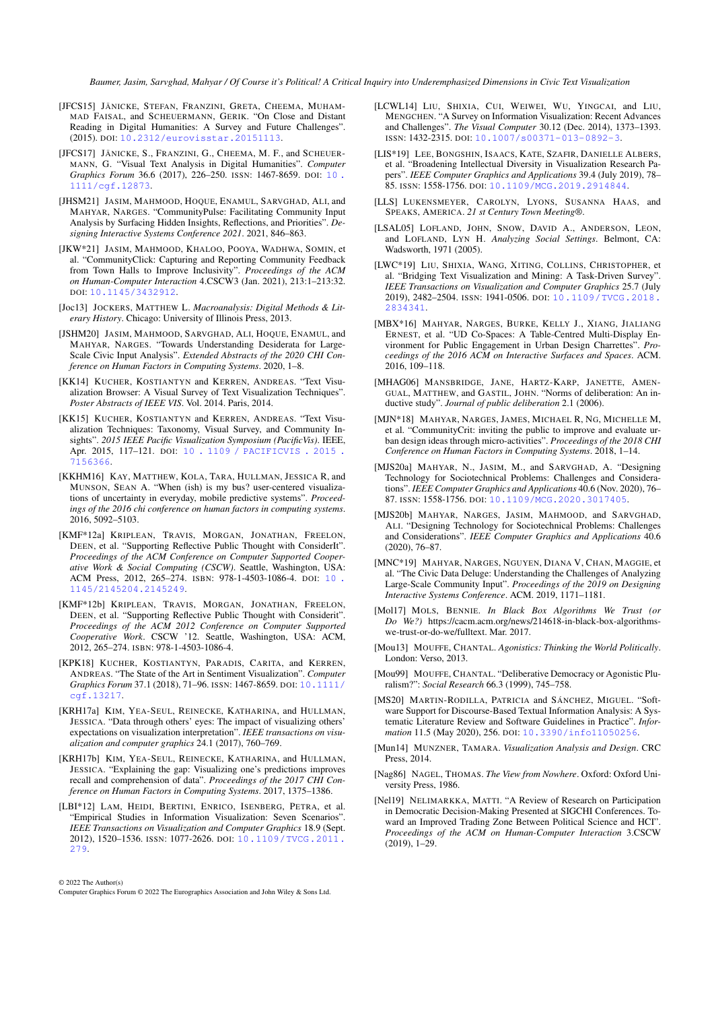- <span id="page-12-8"></span>[JFCS15] JÄNICKE, STEFAN, FRANZINI, GRETA, CHEEMA, MUHAM-MAD FAISAL, and SCHEUERMANN, GERIK. "On Close and Distant Reading in Digital Humanities: A Survey and Future Challenges". (2015). DOI: [10.2312/eurovisstar.20151113](https://doi.org/10.2312/eurovisstar.20151113).
- <span id="page-12-9"></span>[JFCS17] JÄNICKE, S., FRANZINI, G., CHEEMA, M. F., and SCHEUER-MANN, G. "Visual Text Analysis in Digital Humanities". *Computer Graphics Forum* 36.6 (2017), 226–250. ISSN: 1467-8659. DOI: [10 .](https://doi.org/10.1111/cgf.12873) [1111/cgf.12873](https://doi.org/10.1111/cgf.12873).
- <span id="page-12-4"></span>[JHSM21] JASIM, MAHMOOD, HOQUE, ENAMUL, SARVGHAD, ALI, and MAHYAR, NARGES. "CommunityPulse: Facilitating Community Input Analysis by Surfacing Hidden Insights, Reflections, and Priorities". *Designing Interactive Systems Conference 2021*. 2021, 846–863.
- <span id="page-12-22"></span>[JKW\*21] JASIM, MAHMOOD, KHALOO, POOYA, WADHWA, SOMIN, et al. "CommunityClick: Capturing and Reporting Community Feedback from Town Halls to Improve Inclusivity". *Proceedings of the ACM on Human-Computer Interaction* 4.CSCW3 (Jan. 2021), 213:1–213:32. DOI: [10.1145/3432912](https://doi.org/10.1145/3432912).
- <span id="page-12-30"></span>[Joc13] JOCKERS, MATTHEW L. *Macroanalysis: Digital Methods & Literary History*. Chicago: University of Illinois Press, 2013.
- <span id="page-12-23"></span>[JSHM20] JASIM, MAHMOOD, SARVGHAD, ALI, HOQUE, ENAMUL, and MAHYAR, NARGES. "Towards Understanding Desiderata for Large-Scale Civic Input Analysis". *Extended Abstracts of the 2020 CHI Conference on Human Factors in Computing Systems*. 2020, 1–8.
- <span id="page-12-5"></span>[KK14] KUCHER, KOSTIANTYN and KERREN, ANDREAS. "Text Visualization Browser: A Visual Survey of Text Visualization Techniques". *Poster Abstracts of IEEE VIS*. Vol. 2014. Paris, 2014.
- <span id="page-12-7"></span>[KK15] KUCHER, KOSTIANTYN and KERREN, ANDREAS. "Text Visualization Techniques: Taxonomy, Visual Survey, and Community Insights". *2015 IEEE Pacific Visualization Symposium (PacificVis)*. IEEE, Apr. 2015, 117–121. DOI: [10 . 1109 / PACIFICVIS . 2015 .](https://doi.org/10.1109/PACIFICVIS.2015.7156366) [7156366](https://doi.org/10.1109/PACIFICVIS.2015.7156366).
- <span id="page-12-29"></span>[KKHM16] KAY, MATTHEW, KOLA, TARA, HULLMAN, JESSICA R, and MUNSON, SEAN A. "When (ish) is my bus? user-centered visualizations of uncertainty in everyday, mobile predictive systems". *Proceedings of the 2016 chi conference on human factors in computing systems*. 2016, 5092–5103.
- <span id="page-12-3"></span>[KMF\*12a] KRIPLEAN, TRAVIS, MORGAN, JONATHAN, FREELON, DEEN, et al. "Supporting Reflective Public Thought with ConsiderIt". *Proceedings of the ACM Conference on Computer Supported Cooperative Work & Social Computing (CSCW)*. Seattle, Washington, USA: ACM Press, 2012, 265–274. ISBN: 978-1-4503-1086-4. DOI: [10 .](https://doi.org/10.1145/2145204.2145249) [1145/2145204.2145249](https://doi.org/10.1145/2145204.2145249).
- <span id="page-12-24"></span>[KMF\*12b] KRIPLEAN, TRAVIS, MORGAN, JONATHAN, FREELON, DEEN, et al. "Supporting Reflective Public Thought with Considerit". *Proceedings of the ACM 2012 Conference on Computer Supported Cooperative Work*. CSCW '12. Seattle, Washington, USA: ACM, 2012, 265–274. ISBN: 978-1-4503-1086-4.
- <span id="page-12-10"></span>[KPK18] KUCHER, KOSTIANTYN, PARADIS, CARITA, and KERREN, ANDREAS. "The State of the Art in Sentiment Visualization". *Computer Graphics Forum* 37.1 (2018), 71–96. ISSN: 1467-8659. DOI: [10.1111/](https://doi.org/10.1111/cgf.13217) [cgf.13217](https://doi.org/10.1111/cgf.13217).
- <span id="page-12-21"></span>[KRH17a] KIM, YEA-SEUL, REINECKE, KATHARINA, and HULLMAN, JESSICA. "Data through others' eyes: The impact of visualizing others' expectations on visualization interpretation". *IEEE transactions on visualization and computer graphics* 24.1 (2017), 760–769.
- <span id="page-12-32"></span>[KRH17b] KIM, YEA-SEUL, REINECKE, KATHARINA, and HULLMAN, JESSICA. "Explaining the gap: Visualizing one's predictions improves recall and comprehension of data". *Proceedings of the 2017 CHI Conference on Human Factors in Computing Systems*. 2017, 1375–1386.
- <span id="page-12-19"></span>[LBI\*12] LAM, HEIDI, BERTINI, ENRICO, ISENBERG, PETRA, et al. "Empirical Studies in Information Visualization: Seven Scenarios". *IEEE Transactions on Visualization and Computer Graphics* 18.9 (Sept. 2012), 1520–1536. ISSN: 1077-2626. DOI: [10.1109/TVCG.2011.](https://doi.org/10.1109/TVCG.2011.279) [279](https://doi.org/10.1109/TVCG.2011.279).

© 2022 The Author(s)

Computer Graphics Forum © 2022 The Eurographics Association and John Wiley & Sons Ltd.

- <span id="page-12-6"></span>[LCWL14] LIU, SHIXIA, CUI, WEIWEI, WU, YINGCAI, and LIU, MENGCHEN. "A Survey on Information Visualization: Recent Advances and Challenges". *The Visual Computer* 30.12 (Dec. 2014), 1373–1393. ISSN: 1432-2315. DOI: [10.1007/s00371-013-0892-3](https://doi.org/10.1007/s00371-013-0892-3).
- <span id="page-12-15"></span>[LIS\*19] LEE, BONGSHIN, ISAACS, KATE, SZAFIR, DANIELLE ALBERS, et al. "Broadening Intellectual Diversity in Visualization Research Papers". *IEEE Computer Graphics and Applications* 39.4 (July 2019), 78– 85. ISSN: 1558-1756. DOI: [10.1109/MCG.2019.2914844](https://doi.org/10.1109/MCG.2019.2914844).
- <span id="page-12-27"></span>[LLS] LUKENSMEYER, CAROLYN, LYONS, SUSANNA HAAS, and SPEAKS, AMERICA. *21 st Century Town Meeting®*.
- <span id="page-12-17"></span>[LSAL05] LOFLAND, JOHN, SNOW, DAVID A., ANDERSON, LEON, and LOFLAND, LYN H. *Analyzing Social Settings*. Belmont, CA: Wadsworth, 1971 (2005).
- <span id="page-12-11"></span>[LWC\*19] LIU, SHIXIA, WANG, XITING, COLLINS, CHRISTOPHER, et al. "Bridging Text Visualization and Mining: A Task-Driven Survey". *IEEE Transactions on Visualization and Computer Graphics* 25.7 (July 2019), 2482–2504. ISSN: 1941-0506. DOI: [10.1109/TVCG.2018.](https://doi.org/10.1109/TVCG.2018.2834341) [2834341](https://doi.org/10.1109/TVCG.2018.2834341).
- <span id="page-12-0"></span>[MBX\*16] MAHYAR, NARGES, BURKE, KELLY J., XIANG, JIALIANG ERNEST, et al. "UD Co-Spaces: A Table-Centred Multi-Display Environment for Public Engagement in Urban Design Charrettes". *Proceedings of the 2016 ACM on Interactive Surfaces and Spaces*. ACM. 2016, 109–118.
- <span id="page-12-18"></span>[MHAG06] MANSBRIDGE, JANE, HARTZ-KARP, JANETTE, AMEN-GUAL, MATTHEW, and GASTIL, JOHN. "Norms of deliberation: An inductive study". *Journal of public deliberation* 2.1 (2006).
- <span id="page-12-1"></span>[MJN\*18] MAHYAR, NARGES, JAMES, MICHAEL R, NG, MICHELLE M, et al. "CommunityCrit: inviting the public to improve and evaluate urban design ideas through micro-activities". *Proceedings of the 2018 CHI Conference on Human Factors in Computing Systems*. 2018, 1–14.
- <span id="page-12-28"></span>[MJS20a] MAHYAR, N., JASIM, M., and SARVGHAD, A. "Designing Technology for Sociotechnical Problems: Challenges and Considerations". *IEEE Computer Graphics and Applications* 40.6 (Nov. 2020), 76– 87. ISSN: 1558-1756. DOI: [10.1109/MCG.2020.3017405](https://doi.org/10.1109/MCG.2020.3017405).
- <span id="page-12-20"></span>[MJS20b] MAHYAR, NARGES, JASIM, MAHMOOD, and SARVGHAD, ALI. "Designing Technology for Sociotechnical Problems: Challenges and Considerations". *IEEE Computer Graphics and Applications* 40.6 (2020), 76–87.
- <span id="page-12-2"></span>[MNC\*19] MAHYAR, NARGES, NGUYEN, DIANA V, CHAN, MAGGIE, et al. "The Civic Data Deluge: Understanding the Challenges of Analyzing Large-Scale Community Input". *Proceedings of the 2019 on Designing Interactive Systems Conference*. ACM. 2019, 1171–1181.
- <span id="page-12-31"></span>[Mol17] MOLS, BENNIE. *In Black Box Algorithms We Trust (or Do We?)* https://cacm.acm.org/news/214618-in-black-box-algorithmswe-trust-or-do-we/fulltext. Mar. 2017.
- <span id="page-12-14"></span>[Mou13] MOUFFE, CHANTAL. *Agonistics: Thinking the World Politically*. London: Verso, 2013.
- <span id="page-12-13"></span>[Mou99] MOUFFE, CHANTAL. "Deliberative Democracy or Agonistic Pluralism?": *Social Research* 66.3 (1999), 745–758.
- <span id="page-12-12"></span>[MS20] MARTIN-RODILLA, PATRICIA and SÁNCHEZ, MIGUEL. "Software Support for Discourse-Based Textual Information Analysis: A Systematic Literature Review and Software Guidelines in Practice". *Information* 11.5 (May 2020), 256. DOI: [10.3390/info11050256](https://doi.org/10.3390/info11050256).
- <span id="page-12-25"></span>[Mun14] MUNZNER, TAMARA. *Visualization Analysis and Design*. CRC Press, 2014.
- <span id="page-12-16"></span>[Nag86] NAGEL, THOMAS. *The View from Nowhere*. Oxford: Oxford University Press, 1986.
- <span id="page-12-26"></span>[Nel19] NELIMARKKA, MATTI. "A Review of Research on Participation in Democratic Decision-Making Presented at SIGCHI Conferences. Toward an Improved Trading Zone Between Political Science and HCI" *Proceedings of the ACM on Human-Computer Interaction* 3.CSCW (2019), 1–29.